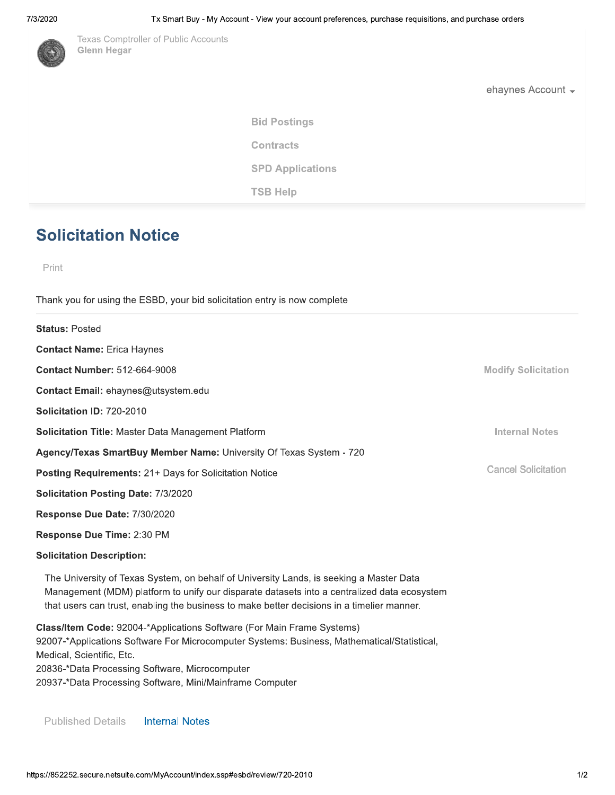## $(13/2)$

ehaynes Account -

**Bid Postings TSB Help Contracts** SPD Applications

# Solicitation Notice

Glenn Hegar

Texas Comptroller of Public Accounts

| Thank you for using the ESBD, your bid solicitation entry is now complete                                                                                                                                                                                                            |                            |
|--------------------------------------------------------------------------------------------------------------------------------------------------------------------------------------------------------------------------------------------------------------------------------------|----------------------------|
| <b>Status: Posted</b>                                                                                                                                                                                                                                                                |                            |
| <b>Contact Name: Erica Haynes</b>                                                                                                                                                                                                                                                    |                            |
| <b>Contact Number: 512-664-9008</b>                                                                                                                                                                                                                                                  | <b>Modify Solicitation</b> |
| Contact Email: ehaynes@utsystem.edu                                                                                                                                                                                                                                                  |                            |
| Solicitation ID: 720-2010                                                                                                                                                                                                                                                            |                            |
| Solicitation Title: Master Data Management Platform                                                                                                                                                                                                                                  | <b>Internal Notes</b>      |
| Agency/Texas SmartBuy Member Name: University Of Texas System - 720                                                                                                                                                                                                                  |                            |
| Posting Requirements: 21+ Days for Solicitation Notice                                                                                                                                                                                                                               | <b>Cancel Solicitation</b> |
| Solicitation Posting Date: 7/3/2020                                                                                                                                                                                                                                                  |                            |
| Response Due Date: 7/30/2020                                                                                                                                                                                                                                                         |                            |
| Response Due Time: 2:30 PM                                                                                                                                                                                                                                                           |                            |
| <b>Solicitation Description:</b>                                                                                                                                                                                                                                                     |                            |
| The University of Texas System, on behalf of University Lands, is seeking a Master Data<br>Management (MDM) platform to unify our disparate datasets into a centralized data ecosystem<br>that users can trust, enabling the business to make better decisions in a timelier manner. |                            |
| Class/Item Code: 92004-*Applications Software (For Main Frame Systems)<br>92007-*Applications Software For Microcomputer Systems: Business, Mathematical/Statistical,<br>Medical, Scientific, Etc.<br>20836-*Data Processing Software, Microcomputer                                 |                            |
| 20937-*Data Processing Software, Mini/Mainframe Computer                                                                                                                                                                                                                             |                            |
| <b>Published Details</b><br><b>Internal Notes</b>                                                                                                                                                                                                                                    |                            |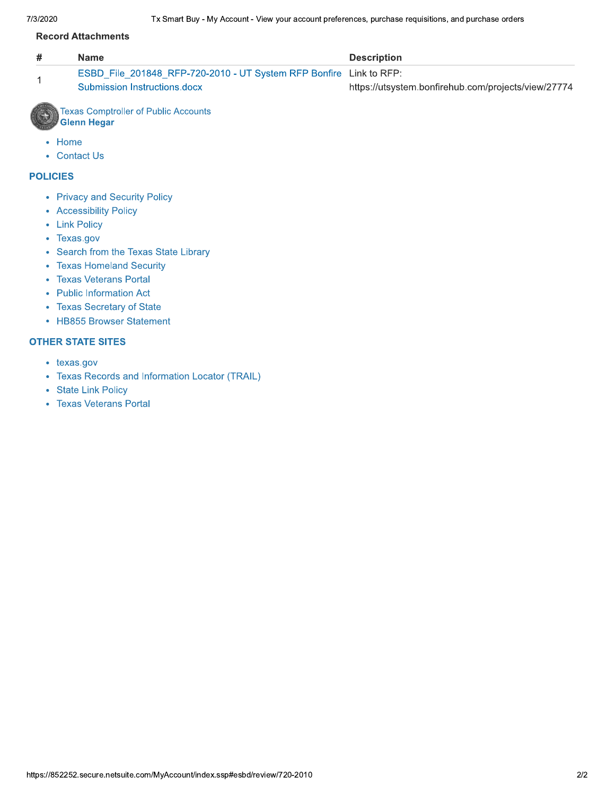### **Record Attachments**

|   | <b>Record Attachments</b>                                                             |                                                                     |
|---|---------------------------------------------------------------------------------------|---------------------------------------------------------------------|
| # | <b>Name</b>                                                                           | <b>Description</b>                                                  |
|   | ESBD File 201848 RFP-720-2010 - UT System RFP Bonfire<br>Submission Instructions.docx | Link to RFP:<br>https://utsystem.bonfirehub.com/projects/view/27774 |
|   | <b>Texas Comptroller of Public Accounts</b>                                           |                                                                     |
|   | <b>Glenn Hegar</b>                                                                    |                                                                     |
|   | • Home                                                                                |                                                                     |



- $H$ ome
- Contact Us

### POLICIES

- Privacy and Security Policy<br>• Accessibility Policy
- 
- Link Policy
- Texas.gov
- Glenn Hegar<br>
 Home<br>
 Contact Us<br>
POLICIES<br>
 Privacy and Security Policy<br>
 Accessibility Policy<br>
 Link Policy<br>
 Texas.gov<br>
 Search from the Texas State L<br>
 Texas Homeland Security<br>
 Texas Veterans Portal<br>
 Public • Search from the Texas State Library and Security Policy<br>
polity Policy<br>
ov<br>
from the Texas State Library<br>
omeland Security<br>
eterans Portal<br>
formation Act<br>
ecretary of State<br>
Browser Statement<br>
E SITES
	- **Texas Homeland Security**
	- Texas Veterans Portal
	- Public Information Act
	- Texas Secretary of State
	- HB855 Browser Statement

### **OTHER STATE SITES**

- texas.gov
- Accessibility Policy<br>
 Accessibility Policy<br>
 Texas.gov<br>
 Search from the Texas St<br>
 Texas Homeland Security<br>
 Texas Veterans Portal<br>
 Public Information Act<br>
 Texas Secretary of State<br>
 HB855 Browser Statement<br> **O** Texas Records and Information Locator (TRAIL)
	- State Link Policy
	- Texas Veterans Portal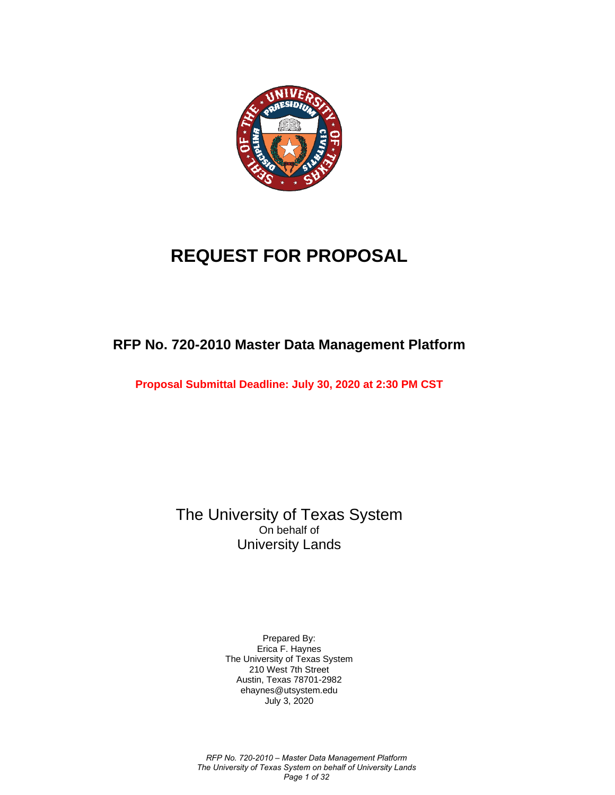

# **REQUEST FOR PROPOSAL**

# **RFP No. 720-2010 Master Data Management Platform**

**Proposal Submittal Deadline: July 30, 2020 at 2:30 PM CST**

# The University of Texas System On behalf of University Lands

Prepared By: Erica F. Haynes The University of Texas System 210 West 7th Street Austin, Texas 78701-2982 ehaynes@utsystem.edu July 3, 2020

*RFP No. 720-2010 – Master Data Management Platform The University of Texas System on behalf of University Lands Page 1 of 32*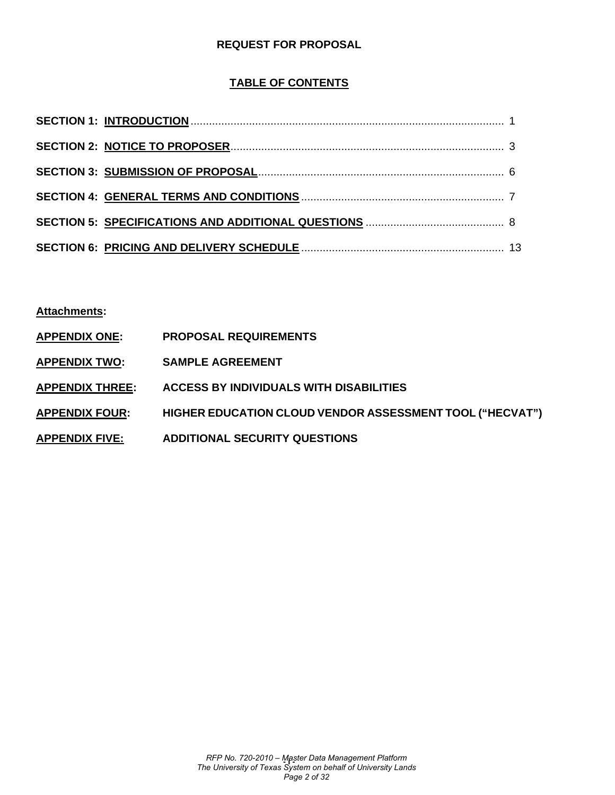# **REQUEST FOR PROPOSAL**

# **TABLE OF CONTENTS**

### **Attachments:**

| <b>APPENDIX ONE:</b>   | <b>PROPOSAL REQUIREMENTS</b>                             |
|------------------------|----------------------------------------------------------|
| <b>APPENDIX TWO:</b>   | <b>SAMPLE AGREEMENT</b>                                  |
| <b>APPENDIX THREE:</b> | ACCESS BY INDIVIDUALS WITH DISABILITIES                  |
| <b>APPENDIX FOUR:</b>  | HIGHER EDUCATION CLOUD VENDOR ASSESSMENT TOOL ("HECVAT") |
| <b>APPENDIX FIVE:</b>  | <b>ADDITIONAL SECURITY QUESTIONS</b>                     |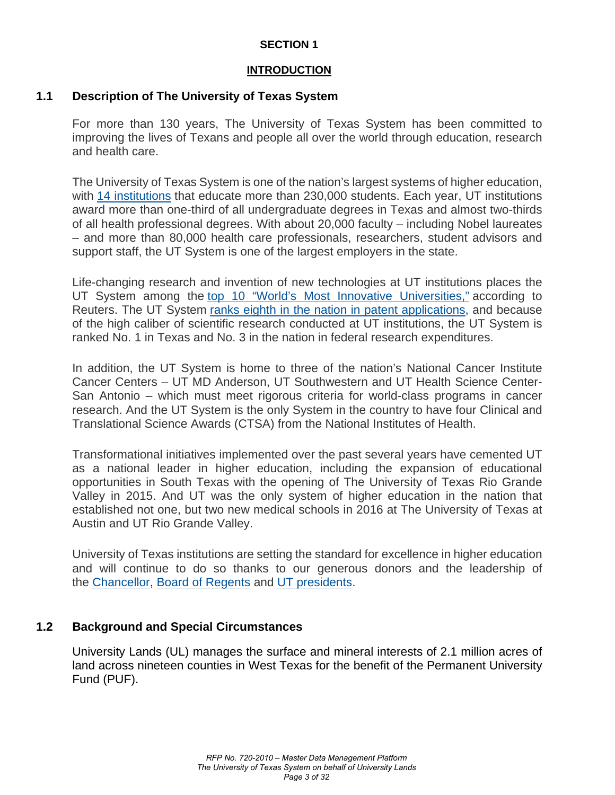# **INTRODUCTION**

# **1.1 Description of The University of Texas System**

For more than 130 years, The University of Texas System has been committed to improving the lives of Texans and people all over the world through education, research and health care.

The University of Texas System is one of the nation's largest systems of higher education, with [14 institutions](https://www.utsystem.edu/institutions) that educate more than 230,000 students. Each year, UT institutions award more than one-third of all undergraduate degrees in Texas and almost two-thirds of all health professional degrees. With about 20,000 faculty – including Nobel laureates – and more than 80,000 health care professionals, researchers, student advisors and support staff, the UT System is one of the largest employers in the state.

Life-changing research and invention of new technologies at UT institutions places the UT System among the [top 10 "World's Most Innovative Universities,"](https://www.utsystem.edu/news/2017/09/28/ut-system-among-top-10-most-innovative-universities-world) according to Reuters. The UT System [ranks eighth in the nation in patent applications,](https://www.utsystem.edu/news/2017/06/07/ut-system-ranks-8th-globally-most-us-patents-granted-2016) and because of the high caliber of scientific research conducted at UT institutions, the UT System is ranked No. 1 in Texas and No. 3 in the nation in federal research expenditures.

In addition, the UT System is home to three of the nation's National Cancer Institute Cancer Centers – UT MD Anderson, UT Southwestern and UT Health Science Center-San Antonio – which must meet rigorous criteria for world-class programs in cancer research. And the UT System is the only System in the country to have four Clinical and Translational Science Awards (CTSA) from the National Institutes of Health.

Transformational initiatives implemented over the past several years have cemented UT as a national leader in higher education, including the expansion of educational opportunities in South Texas with the opening of The University of Texas Rio Grande Valley in 2015. And UT was the only system of higher education in the nation that established not one, but two new medical schools in 2016 at The University of Texas at Austin and UT Rio Grande Valley.

University of Texas institutions are setting the standard for excellence in higher education and will continue to do so thanks to our generous donors and the leadership of the [Chancellor,](https://www.utsystem.edu/chancellor) [Board of Regents](https://www.utsystem.edu/regents) and [UT presidents.](https://www.utsystem.edu/institutions)

# **1.2 Background and Special Circumstances**

University Lands (UL) manages the surface and mineral interests of 2.1 million acres of land across nineteen counties in West Texas for the benefit of the Permanent University Fund (PUF).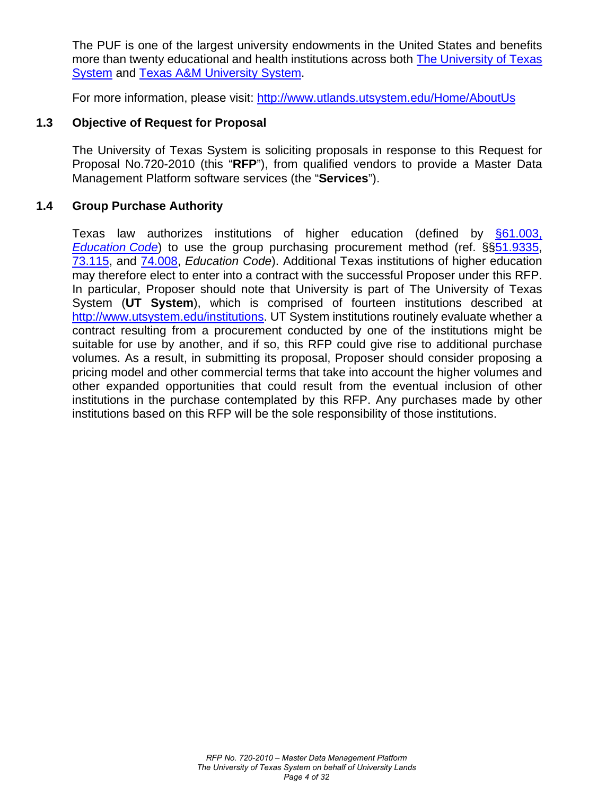The PUF is one of the largest university endowments in the United States and benefits more than twenty educational and health institutions across both [The University of Texas](http://www.utsystem.edu/)  [System](http://www.utsystem.edu/) and [Texas A&M University System.](http://www.tamus.edu/)

For more information, please visit:<http://www.utlands.utsystem.edu/Home/AboutUs>

# **1.3 Objective of Request for Proposal**

The University of Texas System is soliciting proposals in response to this Request for Proposal No.720-2010 (this "**RFP**"), from qualified vendors to provide a Master Data Management Platform software services (the "**Services**").

# **1.4 Group Purchase Authority**

Texas law authorizes institutions of higher education (defined by [§61.003,](http://www.statutes.legis.state.tx.us/Docs/ED/htm/ED.61.htm#61.003)  *[Education](http://www.statutes.legis.state.tx.us/Docs/ED/htm/ED.61.htm#61.003) Code*) to use the group purchasing procurement method (ref. §[§51.9335,](http://www.statutes.legis.state.tx.us/Docs/ED/htm/ED.51.htm#51.9335) [73.115,](http://www.statutes.legis.state.tx.us/Docs/ED/htm/ED.73.htm#73.115) and [74.008,](http://www.statutes.legis.state.tx.us/Docs/ED/htm/ED.74.htm#74.008) *Education Code*). Additional Texas institutions of higher education may therefore elect to enter into a contract with the successful Proposer under this RFP. In particular, Proposer should note that University is part of The University of Texas System (**UT System**), which is comprised of fourteen institutions described at [http://www.utsystem.edu/institutions.](http://www.utsystem.edu/institutions) UT System institutions routinely evaluate whether a contract resulting from a procurement conducted by one of the institutions might be suitable for use by another, and if so, this RFP could give rise to additional purchase volumes. As a result, in submitting its proposal, Proposer should consider proposing a pricing model and other commercial terms that take into account the higher volumes and other expanded opportunities that could result from the eventual inclusion of other institutions in the purchase contemplated by this RFP. Any purchases made by other institutions based on this RFP will be the sole responsibility of those institutions.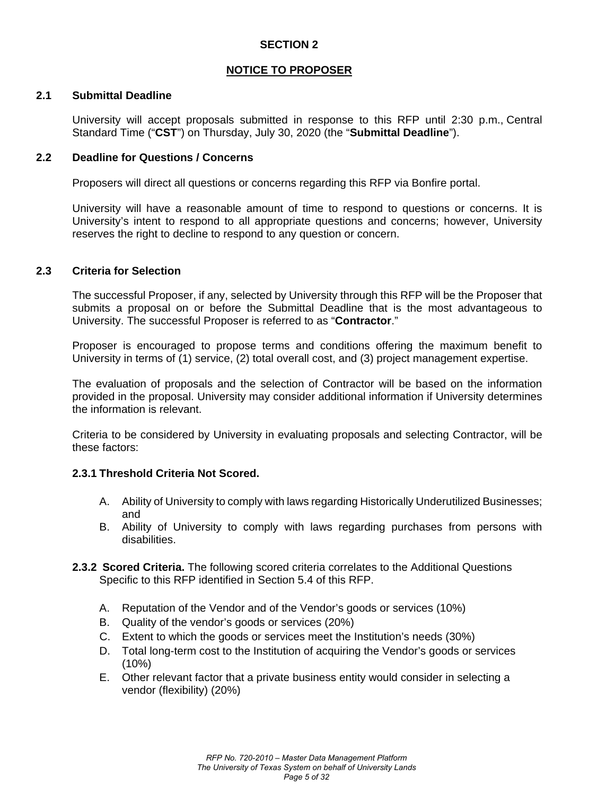# **NOTICE TO PROPOSER**

### **2.1 Submittal Deadline**

University will accept proposals submitted in response to this RFP until 2:30 p.m., Central Standard Time ("**CST**") on Thursday, July 30, 2020 (the "**Submittal Deadline**").

### **2.2 Deadline for Questions / Concerns**

Proposers will direct all questions or concerns regarding this RFP via Bonfire portal.

University will have a reasonable amount of time to respond to questions or concerns. It is University's intent to respond to all appropriate questions and concerns; however, University reserves the right to decline to respond to any question or concern.

### **2.3 Criteria for Selection**

The successful Proposer, if any, selected by University through this RFP will be the Proposer that submits a proposal on or before the Submittal Deadline that is the most advantageous to University. The successful Proposer is referred to as "**Contractor**."

Proposer is encouraged to propose terms and conditions offering the maximum benefit to University in terms of (1) service, (2) total overall cost, and (3) project management expertise.

The evaluation of proposals and the selection of Contractor will be based on the information provided in the proposal. University may consider additional information if University determines the information is relevant.

Criteria to be considered by University in evaluating proposals and selecting Contractor, will be these factors:

### **2.3.1 Threshold Criteria Not Scored.**

- A. Ability of University to comply with laws regarding Historically Underutilized Businesses; and
- B. Ability of University to comply with laws regarding purchases from persons with disabilities.
- **2.3.2 Scored Criteria.** The following scored criteria correlates to the Additional Questions Specific to this RFP identified in Section 5.4 of this RFP.
	- A. Reputation of the Vendor and of the Vendor's goods or services (10%)
	- B. Quality of the vendor's goods or services (20%)
	- C. Extent to which the goods or services meet the Institution's needs (30%)
	- D. Total long-term cost to the Institution of acquiring the Vendor's goods or services (10%)
	- E. Other relevant factor that a private business entity would consider in selecting a vendor (flexibility) (20%)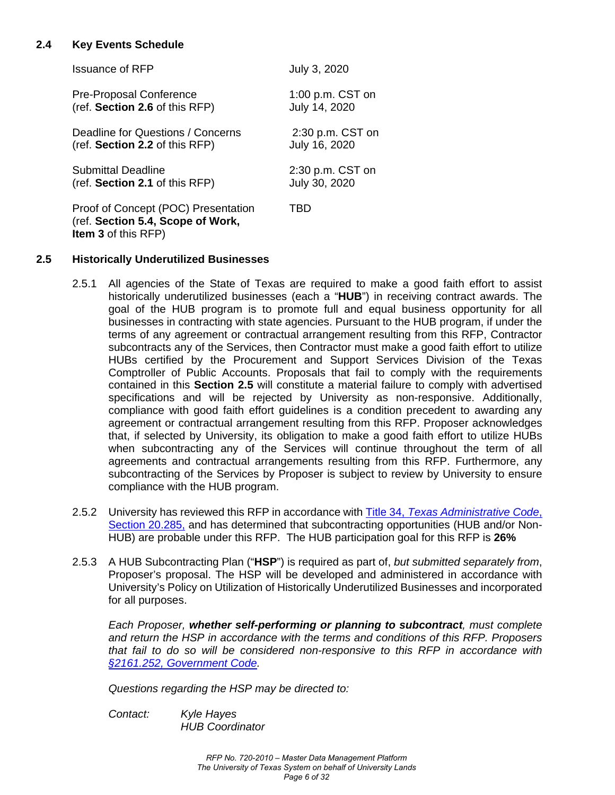# **2.4 Key Events Schedule**

| <b>Issuance of RFP</b>                                                                                 | July 3, 2020                        |
|--------------------------------------------------------------------------------------------------------|-------------------------------------|
| Pre-Proposal Conference<br>(ref. Section 2.6 of this RFP)                                              | 1:00 p.m. $CST$ on<br>July 14, 2020 |
| Deadline for Questions / Concerns<br>(ref. Section 2.2 of this RFP)                                    | 2:30 p.m. CST on<br>July 16, 2020   |
| Submittal Deadline<br>(ref. Section 2.1 of this RFP)                                                   | 2:30 p.m. CST on<br>July 30, 2020   |
| Proof of Concept (POC) Presentation<br>(ref. Section 5.4, Scope of Work,<br><b>Item 3 of this RFP)</b> | TBD                                 |

# **2.5 Historically Underutilized Businesses**

- 2.5.1 All agencies of the State of Texas are required to make a good faith effort to assist historically underutilized businesses (each a "**HUB**") in receiving contract awards. The goal of the HUB program is to promote full and equal business opportunity for all businesses in contracting with state agencies. Pursuant to the HUB program, if under the terms of any agreement or contractual arrangement resulting from this RFP, Contractor subcontracts any of the Services, then Contractor must make a good faith effort to utilize HUBs certified by the Procurement and Support Services Division of the Texas Comptroller of Public Accounts. Proposals that fail to comply with the requirements contained in this **Section 2.5** will constitute a material failure to comply with advertised specifications and will be rejected by University as non-responsive. Additionally, compliance with good faith effort guidelines is a condition precedent to awarding any agreement or contractual arrangement resulting from this RFP. Proposer acknowledges that, if selected by University, its obligation to make a good faith effort to utilize HUBs when subcontracting any of the Services will continue throughout the term of all agreements and contractual arrangements resulting from this RFP. Furthermore, any subcontracting of the Services by Proposer is subject to review by University to ensure compliance with the HUB program.
- 2.5.2 University has reviewed this RFP in accordance with Title 34, *[Texas Administrative Code](http://texreg.sos.state.tx.us/public/readtac$ext.TacPage?sl=R&app=9&p_dir=&p_rloc=&p_tloc=&p_ploc=&pg=1&p_tac=&ti=34&pt=1&ch=20&rl=284)*, [Section](http://texreg.sos.state.tx.us/public/readtac$ext.TacPage?sl=R&app=9&p_dir=&p_rloc=&p_tloc=&p_ploc=&pg=1&p_tac=&ti=34&pt=1&ch=20&rl=284) 20.285, and has determined that subcontracting opportunities (HUB and/or Non-HUB) are probable under this RFP. The HUB participation goal for this RFP is **26%**
- 2.5.3 A HUB Subcontracting Plan ("**HSP**") is required as part of, *but submitted separately from*, Proposer's proposal. The HSP will be developed and administered in accordance with University's Policy on Utilization of Historically Underutilized Businesses and incorporated for all purposes.

*Each Proposer, whether self-performing or planning to subcontract, must complete and return the HSP in accordance with the terms and conditions of this RFP. Proposers that fail to do so will be considered non-responsive to this RFP in accordance with [§2161.252, Government Code.](http://www.statutes.legis.state.tx.us/Docs/GV/htm/GV.2161.htm#2161.252)* 

*Questions regarding the HSP may be directed to:*

*Contact: Kyle Hayes HUB Coordinator*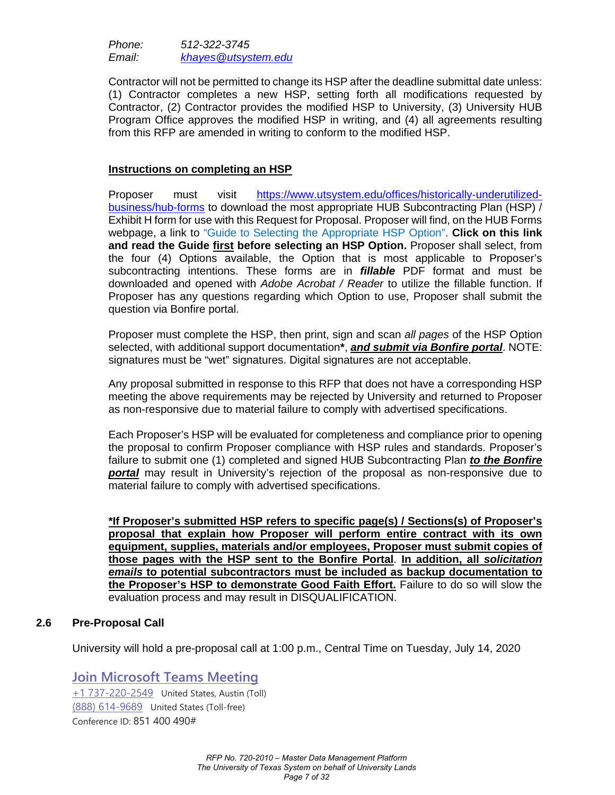*Phone: 512-322-3745 Email: [khayes@utsystem.edu](mailto:khayes@utsystem.edu)* 

Contractor will not be permitted to change its HSP after the deadline submittal date unless: (1) Contractor completes a new HSP, setting forth all modifications requested by Contractor, (2) Contractor provides the modified HSP to University, (3) University HUB Program Office approves the modified HSP in writing, and (4) all agreements resulting from this RFP are amended in writing to conform to the modified HSP.

### **Instructions on completing an HSP**

Proposer must visit [https://www.utsystem.edu/offices/historically-underutilized](https://www.utsystem.edu/offices/historically-underutilized-business/hub-forms)[business/hub-forms](https://www.utsystem.edu/offices/historically-underutilized-business/hub-forms) to download the most appropriate HUB Subcontracting Plan (HSP) / Exhibit H form for use with this Request for Proposal. Proposer will find, on the HUB Forms webpage, a link to "Guide to Selecting the Appropriate HSP Option". **Click on this link and read the Guide first before selecting an HSP Option.** Proposer shall select, from the four (4) Options available, the Option that is most applicable to Proposer's subcontracting intentions. These forms are in *fillable* PDF format and must be downloaded and opened with *Adobe Acrobat / Reader* to utilize the fillable function. If Proposer has any questions regarding which Option to use, Proposer shall submit the question via Bonfire portal.

Proposer must complete the HSP, then print, sign and scan *all pages* of the HSP Option selected, with additional support documentation**\***, *and submit via Bonfire portal*. NOTE: signatures must be "wet" signatures. Digital signatures are not acceptable.

Any proposal submitted in response to this RFP that does not have a corresponding HSP meeting the above requirements may be rejected by University and returned to Proposer as non-responsive due to material failure to comply with advertised specifications.

Each Proposer's HSP will be evaluated for completeness and compliance prior to opening the proposal to confirm Proposer compliance with HSP rules and standards. Proposer's failure to submit one (1) completed and signed HUB Subcontracting Plan *to the Bonfire portal* may result in University's rejection of the proposal as non-responsive due to material failure to comply with advertised specifications.

**\*If Proposer's submitted HSP refers to specific page(s) / Sections(s) of Proposer's proposal that explain how Proposer will perform entire contract with its own equipment, supplies, materials and/or employees, Proposer must submit copies of those pages with the HSP sent to the Bonfire Portal**. **In addition, all** *solicitation emails* **to potential subcontractors must be included as backup documentation to the Proposer's HSP to demonstrate Good Faith Effort.** Failure to do so will slow the evaluation process and may result in DISQUALIFICATION.

### **2.6 Pre-Proposal Call**

University will hold a pre-proposal call at 1:00 p.m., Central Time on Tuesday, July 14, 2020

# **[Join Microsoft Teams Meeting](https://teams.microsoft.com/l/meetup-join/19%3ameeting_NjVkYzE0YzEtNDQxNS00NzBkLWExNjYtNjQ0NjU4NmU4YmU3%40thread.v2/0?context=%7b%22Tid%22%3a%2261399d5f-249c-44d0-b271-adc287f323ff%22%2c%22Oid%22%3a%228dd8e14c-9199-4ef0-a730-68025c75304e%22%7d)**

[+1 737-220-2549](tel:+1%20737-220-2549,,851400490#%20) United States, Austin (Toll) [\(888\) 614-9689](tel:(888)%20614-9689,,851400490#%20) United States (Toll-free) Conference ID: 851 400 490#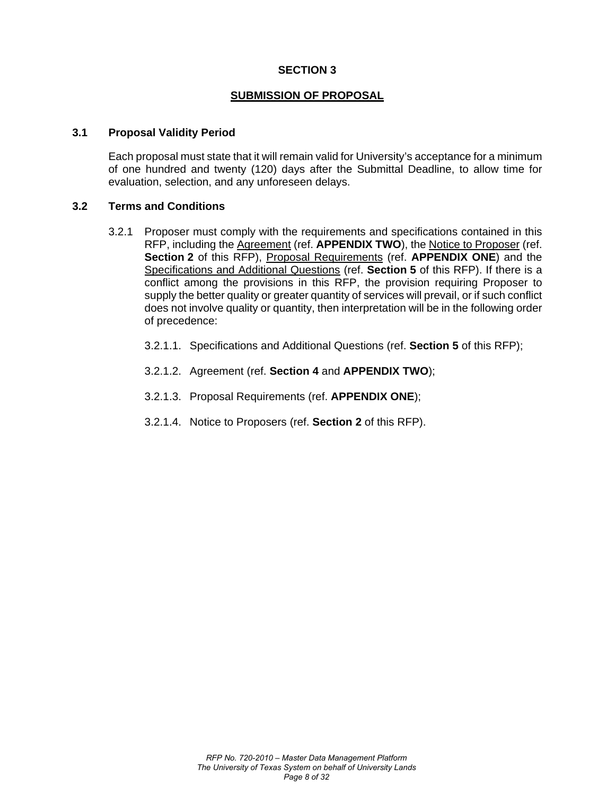## **SUBMISSION OF PROPOSAL**

### **3.1 Proposal Validity Period**

Each proposal must state that it will remain valid for University's acceptance for a minimum of one hundred and twenty (120) days after the Submittal Deadline, to allow time for evaluation, selection, and any unforeseen delays.

## **3.2 Terms and Conditions**

- 3.2.1 Proposer must comply with the requirements and specifications contained in this RFP, including the Agreement (ref. **APPENDIX TWO**), the Notice to Proposer (ref. **Section 2** of this RFP), Proposal Requirements (ref. **APPENDIX ONE**) and the Specifications and Additional Questions (ref. **Section 5** of this RFP). If there is a conflict among the provisions in this RFP, the provision requiring Proposer to supply the better quality or greater quantity of services will prevail, or if such conflict does not involve quality or quantity, then interpretation will be in the following order of precedence:
	- 3.2.1.1. Specifications and Additional Questions (ref. **Section 5** of this RFP);
	- 3.2.1.2. Agreement (ref. **Section 4** and **APPENDIX TWO**);
	- 3.2.1.3. Proposal Requirements (ref. **APPENDIX ONE**);
	- 3.2.1.4. Notice to Proposers (ref. **Section 2** of this RFP).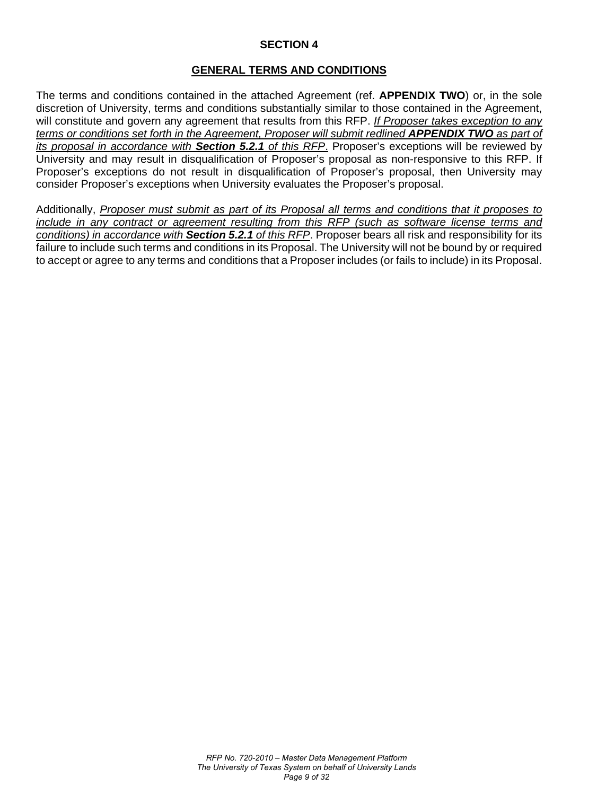### **GENERAL TERMS AND CONDITIONS**

The terms and conditions contained in the attached Agreement (ref. **APPENDIX TWO**) or, in the sole discretion of University, terms and conditions substantially similar to those contained in the Agreement, will constitute and govern any agreement that results from this RFP. *If Proposer takes exception to any terms or conditions set forth in the Agreement, Proposer will submit redlined APPENDIX TWO as part of its proposal in accordance with Section 5.2.1 of this RFP*. Proposer's exceptions will be reviewed by University and may result in disqualification of Proposer's proposal as non-responsive to this RFP. If Proposer's exceptions do not result in disqualification of Proposer's proposal, then University may consider Proposer's exceptions when University evaluates the Proposer's proposal.

Additionally, *Proposer must submit as part of its Proposal all terms and conditions that it proposes to include in any contract or agreement resulting from this RFP (such as software license terms and conditions) in accordance with Section 5.2.1 of this RFP*. Proposer bears all risk and responsibility for its failure to include such terms and conditions in its Proposal. The University will not be bound by or required to accept or agree to any terms and conditions that a Proposer includes (or fails to include) in its Proposal.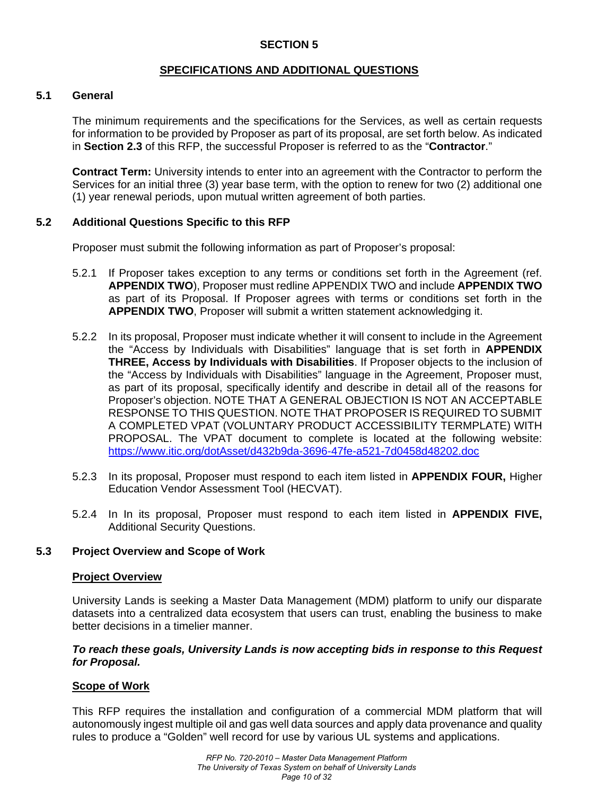## **SPECIFICATIONS AND ADDITIONAL QUESTIONS**

# **5.1 General**

The minimum requirements and the specifications for the Services, as well as certain requests for information to be provided by Proposer as part of its proposal, are set forth below. As indicated in **Section 2.3** of this RFP, the successful Proposer is referred to as the "**Contractor**."

**Contract Term:** University intends to enter into an agreement with the Contractor to perform the Services for an initial three (3) year base term, with the option to renew for two (2) additional one (1) year renewal periods, upon mutual written agreement of both parties.

### **5.2 Additional Questions Specific to this RFP**

Proposer must submit the following information as part of Proposer's proposal:

- 5.2.1 If Proposer takes exception to any terms or conditions set forth in the Agreement (ref. **APPENDIX TWO**), Proposer must redline APPENDIX TWO and include **APPENDIX TWO** as part of its Proposal. If Proposer agrees with terms or conditions set forth in the **APPENDIX TWO**, Proposer will submit a written statement acknowledging it.
- 5.2.2 In its proposal, Proposer must indicate whether it will consent to include in the Agreement the "Access by Individuals with Disabilities" language that is set forth in **APPENDIX THREE, Access by Individuals with Disabilities**. If Proposer objects to the inclusion of the "Access by Individuals with Disabilities" language in the Agreement, Proposer must, as part of its proposal, specifically identify and describe in detail all of the reasons for Proposer's objection. NOTE THAT A GENERAL OBJECTION IS NOT AN ACCEPTABLE RESPONSE TO THIS QUESTION. NOTE THAT PROPOSER IS REQUIRED TO SUBMIT A COMPLETED VPAT (VOLUNTARY PRODUCT ACCESSIBILITY TERMPLATE) WITH PROPOSAL. The VPAT document to complete is located at the following website: <https://www.itic.org/dotAsset/d432b9da-3696-47fe-a521-7d0458d48202.doc>
- 5.2.3 In its proposal, Proposer must respond to each item listed in **APPENDIX FOUR,** Higher Education Vendor Assessment Tool (HECVAT).
- 5.2.4 In In its proposal, Proposer must respond to each item listed in **APPENDIX FIVE,**  Additional Security Questions.

### **5.3 Project Overview and Scope of Work**

### **Project Overview**

University Lands is seeking a Master Data Management (MDM) platform to unify our disparate datasets into a centralized data ecosystem that users can trust, enabling the business to make better decisions in a timelier manner.

### *To reach these goals, University Lands is now accepting bids in response to this Request for Proposal.*

### **Scope of Work**

This RFP requires the installation and configuration of a commercial MDM platform that will autonomously ingest multiple oil and gas well data sources and apply data provenance and quality rules to produce a "Golden" well record for use by various UL systems and applications.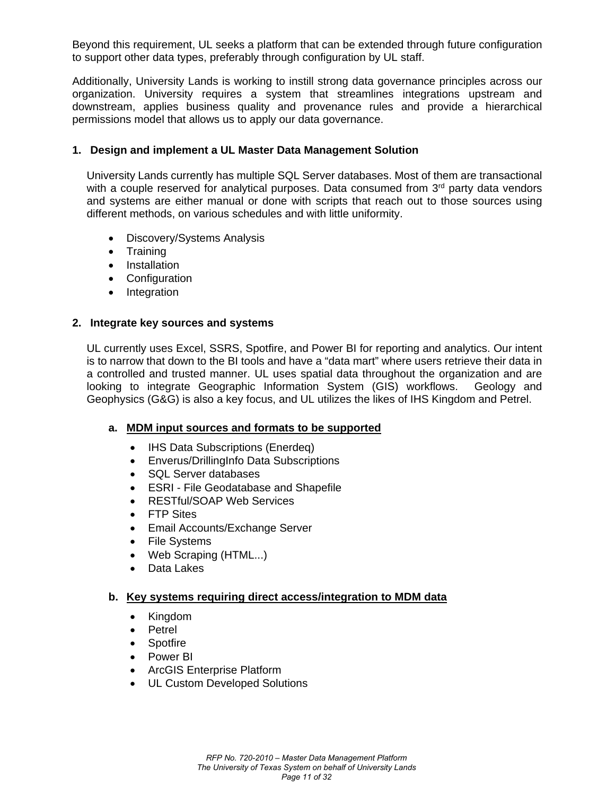Beyond this requirement, UL seeks a platform that can be extended through future configuration to support other data types, preferably through configuration by UL staff.

Additionally, University Lands is working to instill strong data governance principles across our organization. University requires a system that streamlines integrations upstream and downstream, applies business quality and provenance rules and provide a hierarchical permissions model that allows us to apply our data governance.

### **1. Design and implement a UL Master Data Management Solution**

University Lands currently has multiple SQL Server databases. Most of them are transactional with a couple reserved for analytical purposes. Data consumed from  $3<sup>rd</sup>$  party data vendors and systems are either manual or done with scripts that reach out to those sources using different methods, on various schedules and with little uniformity.

- Discovery/Systems Analysis
- Training
- Installation
- Configuration
- Integration

### **2. Integrate key sources and systems**

UL currently uses Excel, SSRS, Spotfire, and Power BI for reporting and analytics. Our intent is to narrow that down to the BI tools and have a "data mart" where users retrieve their data in a controlled and trusted manner. UL uses spatial data throughout the organization and are looking to integrate Geographic Information System (GIS) workflows. Geology and Geophysics (G&G) is also a key focus, and UL utilizes the likes of IHS Kingdom and Petrel.

### **a. MDM input sources and formats to be supported**

- IHS Data Subscriptions (Enerdeq)
- Enverus/DrillingInfo Data Subscriptions
- SQL Server databases
- ESRI File Geodatabase and Shapefile
- RESTful/SOAP Web Services
- FTP Sites
- Email Accounts/Exchange Server
- File Systems
- Web Scraping (HTML...)
- Data Lakes

### **b. Key systems requiring direct access/integration to MDM data**

- Kingdom
- Petrel
- Spotfire
- Power BI
- ArcGIS Enterprise Platform
- UL Custom Developed Solutions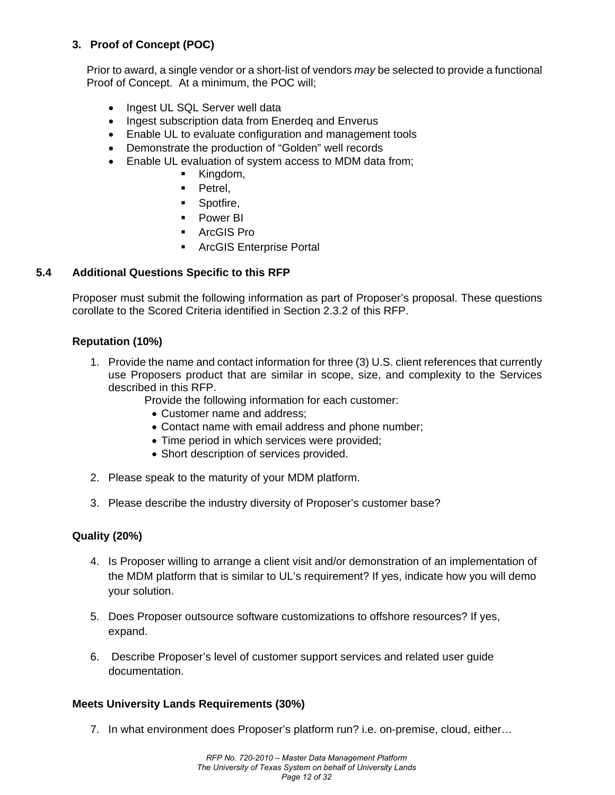# **3. Proof of Concept (POC)**

Prior to award, a single vendor or a short-list of vendors *may* be selected to provide a functional Proof of Concept. At a minimum, the POC will;

- Ingest UL SQL Server well data
- Ingest subscription data from Enerdeq and Enverus
- Enable UL to evaluate configuration and management tools
- Demonstrate the production of "Golden" well records
- Enable UL evaluation of system access to MDM data from;
	- Kingdom,
	- Petrel,
	- **Spotfire,**
	- **Power BI**
	- **ArcGIS Pro**
	- ArcGIS Enterprise Portal

# **5.4 Additional Questions Specific to this RFP**

Proposer must submit the following information as part of Proposer's proposal. These questions corollate to the Scored Criteria identified in Section 2.3.2 of this RFP.

# **Reputation (10%)**

1. Provide the name and contact information for three (3) U.S. client references that currently use Proposers product that are similar in scope, size, and complexity to the Services described in this RFP.

Provide the following information for each customer:

- Customer name and address;
- Contact name with email address and phone number;
- Time period in which services were provided;
- Short description of services provided.
- 2. Please speak to the maturity of your MDM platform.
- 3. Please describe the industry diversity of Proposer's customer base?

# **Quality (20%)**

- 4. Is Proposer willing to arrange a client visit and/or demonstration of an implementation of the MDM platform that is similar to UL's requirement? If yes, indicate how you will demo your solution.
- 5. Does Proposer outsource software customizations to offshore resources? If yes, expand.
- 6. Describe Proposer's level of customer support services and related user guide documentation.

# **Meets University Lands Requirements (30%)**

7. In what environment does Proposer's platform run? i.e. on-premise, cloud, either…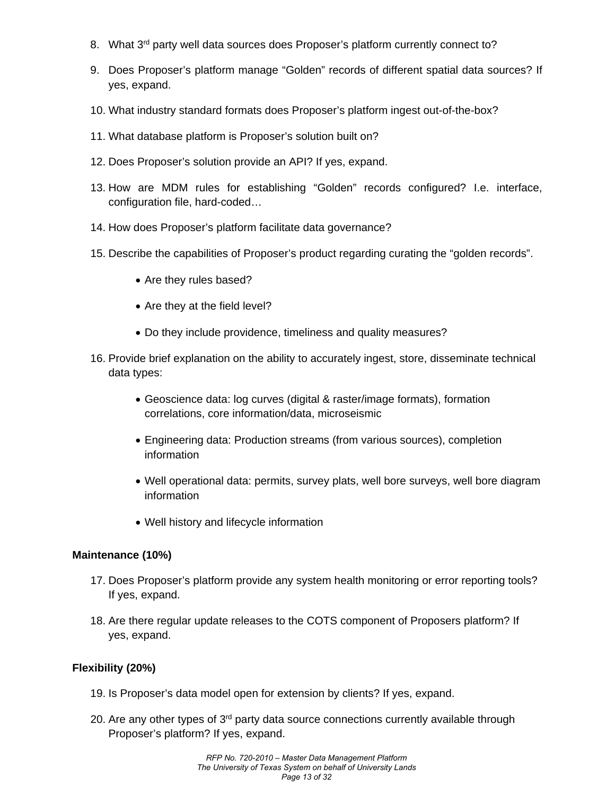- 8. What 3<sup>rd</sup> party well data sources does Proposer's platform currently connect to?
- 9. Does Proposer's platform manage "Golden" records of different spatial data sources? If yes, expand.
- 10. What industry standard formats does Proposer's platform ingest out-of-the-box?
- 11. What database platform is Proposer's solution built on?
- 12. Does Proposer's solution provide an API? If yes, expand.
- 13. How are MDM rules for establishing "Golden" records configured? I.e. interface, configuration file, hard-coded…
- 14. How does Proposer's platform facilitate data governance?
- 15. Describe the capabilities of Proposer's product regarding curating the "golden records".
	- Are they rules based?
	- Are they at the field level?
	- Do they include providence, timeliness and quality measures?
- 16. Provide brief explanation on the ability to accurately ingest, store, disseminate technical data types:
	- Geoscience data: log curves (digital & raster/image formats), formation correlations, core information/data, microseismic
	- Engineering data: Production streams (from various sources), completion information
	- Well operational data: permits, survey plats, well bore surveys, well bore diagram information
	- Well history and lifecycle information

# **Maintenance (10%)**

- 17. Does Proposer's platform provide any system health monitoring or error reporting tools? If yes, expand.
- 18. Are there regular update releases to the COTS component of Proposers platform? If yes, expand.

# **Flexibility (20%)**

- 19. Is Proposer's data model open for extension by clients? If yes, expand.
- 20. Are any other types of  $3<sup>rd</sup>$  party data source connections currently available through Proposer's platform? If yes, expand.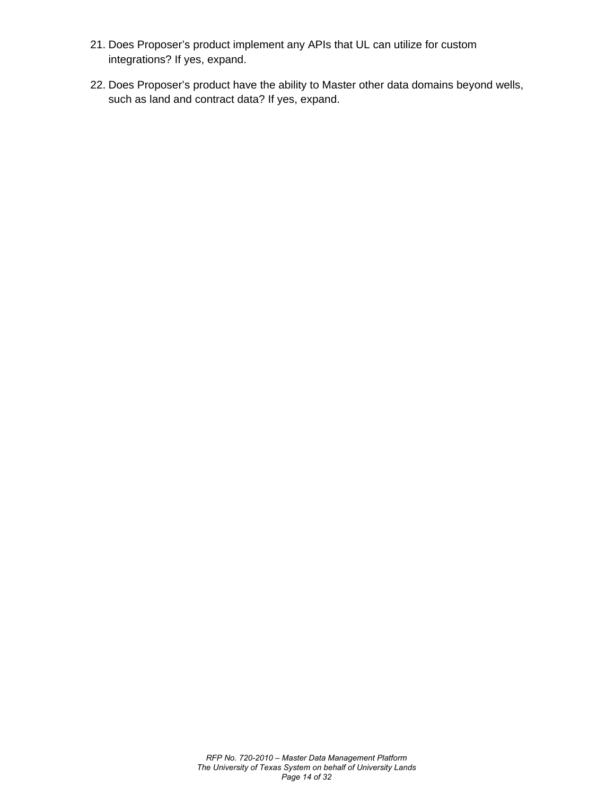- 21. Does Proposer's product implement any APIs that UL can utilize for custom integrations? If yes, expand.
- 22. Does Proposer's product have the ability to Master other data domains beyond wells, such as land and contract data? If yes, expand.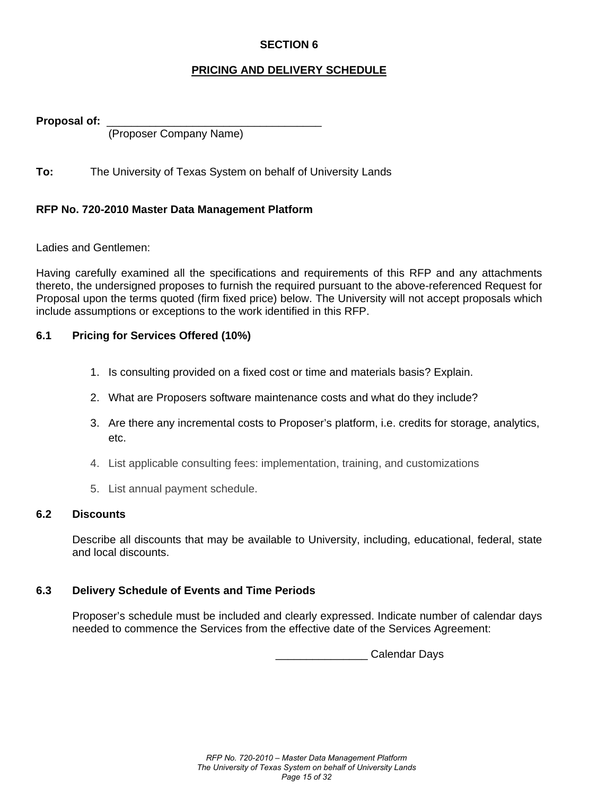# **PRICING AND DELIVERY SCHEDULE**

**Proposal of:** \_\_\_\_\_\_\_\_\_\_\_\_\_\_\_\_\_\_\_\_\_\_\_\_\_\_\_\_\_\_\_\_\_\_\_ (Proposer Company Name)

**To:** The University of Texas System on behalf of University Lands

# **RFP No. 720-2010 Master Data Management Platform**

Ladies and Gentlemen:

Having carefully examined all the specifications and requirements of this RFP and any attachments thereto, the undersigned proposes to furnish the required pursuant to the above-referenced Request for Proposal upon the terms quoted (firm fixed price) below. The University will not accept proposals which include assumptions or exceptions to the work identified in this RFP.

### **6.1 Pricing for Services Offered (10%)**

- 1. Is consulting provided on a fixed cost or time and materials basis? Explain.
- 2. What are Proposers software maintenance costs and what do they include?
- 3. Are there any incremental costs to Proposer's platform, i.e. credits for storage, analytics, etc.
- 4. List applicable consulting fees: implementation, training, and customizations
- 5. List annual payment schedule.

### **6.2 Discounts**

Describe all discounts that may be available to University, including, educational, federal, state and local discounts.

### **6.3 Delivery Schedule of Events and Time Periods**

Proposer's schedule must be included and clearly expressed. Indicate number of calendar days needed to commence the Services from the effective date of the Services Agreement:

\_\_\_\_\_\_\_\_\_\_\_\_\_\_\_ Calendar Days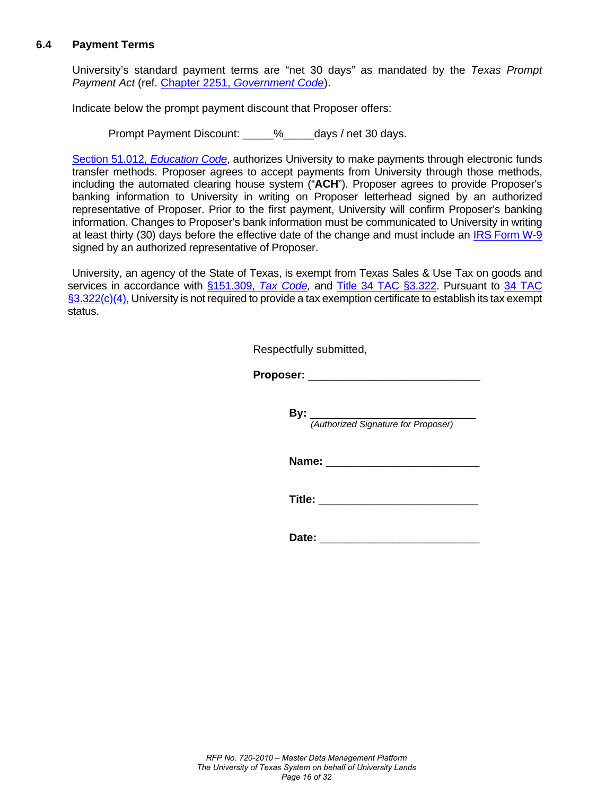# **6.4 Payment Terms**

University's standard payment terms are "net 30 days" as mandated by the *Texas Prompt Payment Act* (ref. Chapter 2251, *[Government Code](http://www.statutes.legis.state.tx.us/Docs/GV/htm/GV.2251.htm)*).

Indicate below the prompt payment discount that Proposer offers:

Prompt Payment Discount:  $\frac{1}{2}$  % days / net 30 days.

[Section 51.012,](http://www.statutes.legis.state.tx.us/Docs/ED/htm/ED.51.htm#51.012) *Education Code*, authorizes University to make payments through electronic funds transfer methods. Proposer agrees to accept payments from University through those methods, including the automated clearing house system ("**ACH**"). Proposer agrees to provide Proposer's banking information to University in writing on Proposer letterhead signed by an authorized representative of Proposer. Prior to the first payment, University will confirm Proposer's banking information. Changes to Proposer's bank information must be communicated to University in writing at least thirty (30) days before the effective date of the change and must include an IRS [Form W-9](https://www.irs.gov/uac/about-form-w9) signed by an authorized representative of Proposer.

University, an agency of the State of Texas, is exempt from Texas Sales & Use Tax on goods and services in accordance with [§151.309,](http://www.statutes.legis.state.tx.us/Docs/TX/htm/TX.151.htm#151.309) *Tax Code,* and [Title 34 TAC](http://texreg.sos.state.tx.us/public/readtac$ext.TacPage?sl=R&app=9&p_dir=&p_rloc=&p_tloc=&p_ploc=&pg=1&p_tac=&ti=34&pt=1&ch=3&rl=322) §3.322. Pursuant to [34 TAC](http://texreg.sos.state.tx.us/public/readtac$ext.TacPage?sl=R&app=9&p_dir=&p_rloc=&p_tloc=&p_ploc=&pg=1&p_tac=&ti=34&pt=1&ch=3&rl=322)  [§3.322\(c\)\(4\),](http://texreg.sos.state.tx.us/public/readtac$ext.TacPage?sl=R&app=9&p_dir=&p_rloc=&p_tloc=&p_ploc=&pg=1&p_tac=&ti=34&pt=1&ch=3&rl=322) University is not required to provide a tax exemption certificate to establish its tax exempt status.

| Respectfully submitted, |  |
|-------------------------|--|
|-------------------------|--|

**Proposer:** \_\_\_\_\_\_\_\_\_\_\_\_\_\_\_\_\_\_\_\_\_\_\_\_\_\_\_\_

**By:** \_\_\_\_\_\_\_\_\_\_\_\_\_\_\_\_\_\_\_\_\_\_\_\_\_\_\_ *(Authorized Signature for Proposer)* 

**Name:**  $\blacksquare$ 

**Title:** 

**Date:**  $\blacksquare$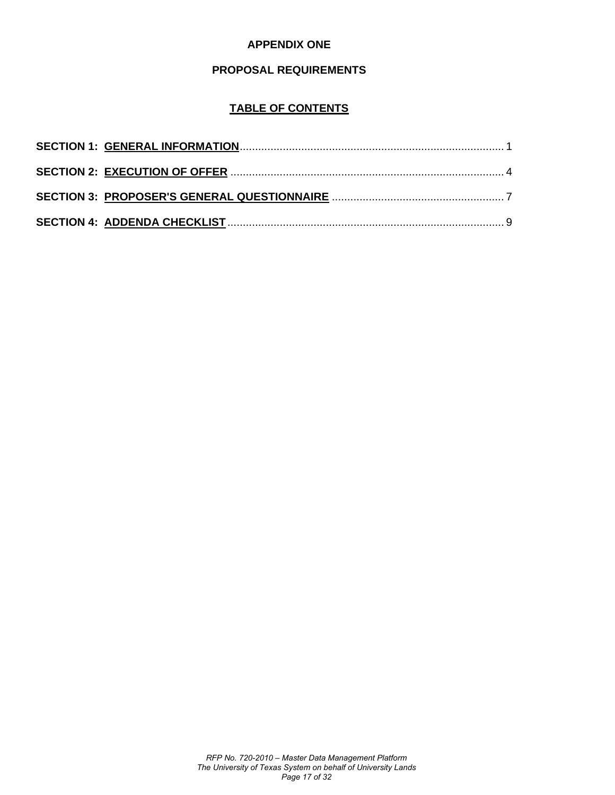# **APPENDIX ONE**

### **PROPOSAL REQUIREMENTS**

# **TABLE OF CONTENTS**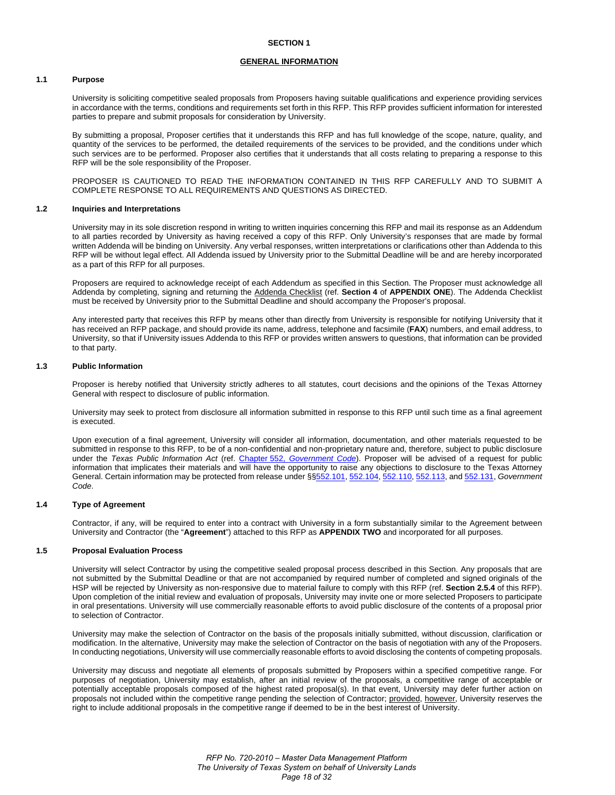#### **GENERAL INFORMATION**

#### **1.1 Purpose**

University is soliciting competitive sealed proposals from Proposers having suitable qualifications and experience providing services in accordance with the terms, conditions and requirements set forth in this RFP. This RFP provides sufficient information for interested parties to prepare and submit proposals for consideration by University.

By submitting a proposal, Proposer certifies that it understands this RFP and has full knowledge of the scope, nature, quality, and quantity of the services to be performed, the detailed requirements of the services to be provided, and the conditions under which such services are to be performed. Proposer also certifies that it understands that all costs relating to preparing a response to this RFP will be the sole responsibility of the Proposer.

PROPOSER IS CAUTIONED TO READ THE INFORMATION CONTAINED IN THIS RFP CAREFULLY AND TO SUBMIT A COMPLETE RESPONSE TO ALL REQUIREMENTS AND QUESTIONS AS DIRECTED.

#### **1.2 Inquiries and Interpretations**

University may in its sole discretion respond in writing to written inquiries concerning this RFP and mail its response as an Addendum to all parties recorded by University as having received a copy of this RFP. Only University's responses that are made by formal written Addenda will be binding on University. Any verbal responses, written interpretations or clarifications other than Addenda to this RFP will be without legal effect. All Addenda issued by University prior to the Submittal Deadline will be and are hereby incorporated as a part of this RFP for all purposes.

Proposers are required to acknowledge receipt of each Addendum as specified in this Section. The Proposer must acknowledge all Addenda by completing, signing and returning the Addenda Checklist (ref. **Section 4** of **APPENDIX ONE**). The Addenda Checklist must be received by University prior to the Submittal Deadline and should accompany the Proposer's proposal.

Any interested party that receives this RFP by means other than directly from University is responsible for notifying University that it has received an RFP package, and should provide its name, address, telephone and facsimile (**FAX**) numbers, and email address, to University, so that if University issues Addenda to this RFP or provides written answers to questions, that information can be provided to that party.

#### **1.3 Public Information**

Proposer is hereby notified that University strictly adheres to all statutes, court decisions and the opinions of the Texas Attorney General with respect to disclosure of public information.

University may seek to protect from disclosure all information submitted in response to this RFP until such time as a final agreement is executed.

Upon execution of a final agreement, University will consider all information, documentation, and other materials requested to be submitted in response to this RFP, to be of a non-confidential and non-proprietary nature and, therefore, subject to public disclosure under the *Texas Public Information Act* (ref. Chapter 552, *[Government Code](http://www.statutes.legis.state.tx.us/Docs/GV/htm/GV.552.htm)*). Proposer will be advised of a request for public information that implicates their materials and will have the opportunity to raise any objections to disclosure to the Texas Attorney General. Certain information may be protected from release under §[§552.101,](http://www.statutes.legis.state.tx.us/Docs/GV/htm/GV.552.htm#552.101) [552.104,](http://www.statutes.legis.state.tx.us/Docs/GV/htm/GV.552.htm#552.104) [552.110,](http://www.statutes.legis.state.tx.us/Docs/GV/htm/GV.552.htm#552.110) [552.113,](http://www.statutes.legis.state.tx.us/Docs/GV/htm/GV.552.htm#552.113) and [552.131,](http://www.statutes.legis.state.tx.us/Docs/GV/htm/GV.552.htm#552.131) *Government Code*.

#### **1.4 Type of Agreement**

Contractor, if any, will be required to enter into a contract with University in a form substantially similar to the Agreement between University and Contractor (the "**Agreement**") attached to this RFP as **APPENDIX TWO** and incorporated for all purposes.

#### **1.5 Proposal Evaluation Process**

University will select Contractor by using the competitive sealed proposal process described in this Section. Any proposals that are not submitted by the Submittal Deadline or that are not accompanied by required number of completed and signed originals of the HSP will be rejected by University as non-responsive due to material failure to comply with this RFP (ref. **Section 2.5.4** of this RFP). Upon completion of the initial review and evaluation of proposals, University may invite one or more selected Proposers to participate in oral presentations. University will use commercially reasonable efforts to avoid public disclosure of the contents of a proposal prior to selection of Contractor.

University may make the selection of Contractor on the basis of the proposals initially submitted, without discussion, clarification or modification. In the alternative, University may make the selection of Contractor on the basis of negotiation with any of the Proposers. In conducting negotiations, University will use commercially reasonable efforts to avoid disclosing the contents of competing proposals.

University may discuss and negotiate all elements of proposals submitted by Proposers within a specified competitive range. For purposes of negotiation, University may establish, after an initial review of the proposals, a competitive range of acceptable or potentially acceptable proposals composed of the highest rated proposal(s). In that event, University may defer further action on proposals not included within the competitive range pending the selection of Contractor; provided, however, University reserves the right to include additional proposals in the competitive range if deemed to be in the best interest of University.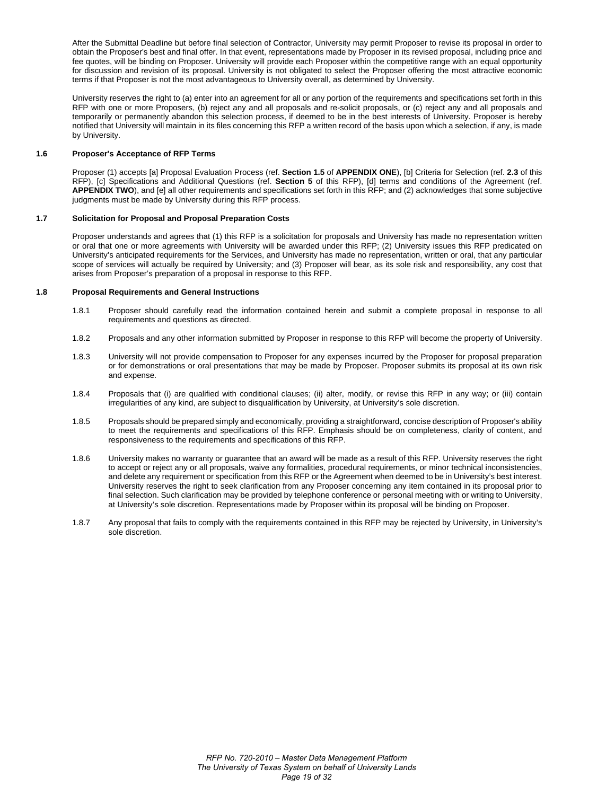After the Submittal Deadline but before final selection of Contractor, University may permit Proposer to revise its proposal in order to obtain the Proposer's best and final offer. In that event, representations made by Proposer in its revised proposal, including price and fee quotes, will be binding on Proposer. University will provide each Proposer within the competitive range with an equal opportunity for discussion and revision of its proposal. University is not obligated to select the Proposer offering the most attractive economic terms if that Proposer is not the most advantageous to University overall, as determined by University.

University reserves the right to (a) enter into an agreement for all or any portion of the requirements and specifications set forth in this RFP with one or more Proposers, (b) reject any and all proposals and re-solicit proposals, or (c) reject any and all proposals and temporarily or permanently abandon this selection process, if deemed to be in the best interests of University. Proposer is hereby notified that University will maintain in its files concerning this RFP a written record of the basis upon which a selection, if any, is made by University.

#### **1.6 Proposer's Acceptance of RFP Terms**

Proposer (1) accepts [a] Proposal Evaluation Process (ref. **Section 1.5** of **APPENDIX ONE**), [b] Criteria for Selection (ref. **2.3** of this RFP), [c] Specifications and Additional Questions (ref. **Section 5** of this RFP), [d] terms and conditions of the Agreement (ref. **APPENDIX TWO**), and [e] all other requirements and specifications set forth in this RFP; and (2) acknowledges that some subjective judgments must be made by University during this RFP process.

#### **1.7 Solicitation for Proposal and Proposal Preparation Costs**

Proposer understands and agrees that (1) this RFP is a solicitation for proposals and University has made no representation written or oral that one or more agreements with University will be awarded under this RFP; (2) University issues this RFP predicated on University's anticipated requirements for the Services, and University has made no representation, written or oral, that any particular scope of services will actually be required by University; and (3) Proposer will bear, as its sole risk and responsibility, any cost that arises from Proposer's preparation of a proposal in response to this RFP.

#### **1.8 Proposal Requirements and General Instructions**

- 1.8.1 Proposer should carefully read the information contained herein and submit a complete proposal in response to all requirements and questions as directed.
- 1.8.2 Proposals and any other information submitted by Proposer in response to this RFP will become the property of University.
- 1.8.3 University will not provide compensation to Proposer for any expenses incurred by the Proposer for proposal preparation or for demonstrations or oral presentations that may be made by Proposer. Proposer submits its proposal at its own risk and expense.
- 1.8.4 Proposals that (i) are qualified with conditional clauses; (ii) alter, modify, or revise this RFP in any way; or (iii) contain irregularities of any kind, are subject to disqualification by University, at University's sole discretion.
- 1.8.5 Proposals should be prepared simply and economically, providing a straightforward, concise description of Proposer's ability to meet the requirements and specifications of this RFP. Emphasis should be on completeness, clarity of content, and responsiveness to the requirements and specifications of this RFP.
- 1.8.6 University makes no warranty or guarantee that an award will be made as a result of this RFP. University reserves the right to accept or reject any or all proposals, waive any formalities, procedural requirements, or minor technical inconsistencies, and delete any requirement or specification from this RFP or the Agreement when deemed to be in University's best interest. University reserves the right to seek clarification from any Proposer concerning any item contained in its proposal prior to final selection. Such clarification may be provided by telephone conference or personal meeting with or writing to University, at University's sole discretion. Representations made by Proposer within its proposal will be binding on Proposer.
- 1.8.7 Any proposal that fails to comply with the requirements contained in this RFP may be rejected by University, in University's sole discretion.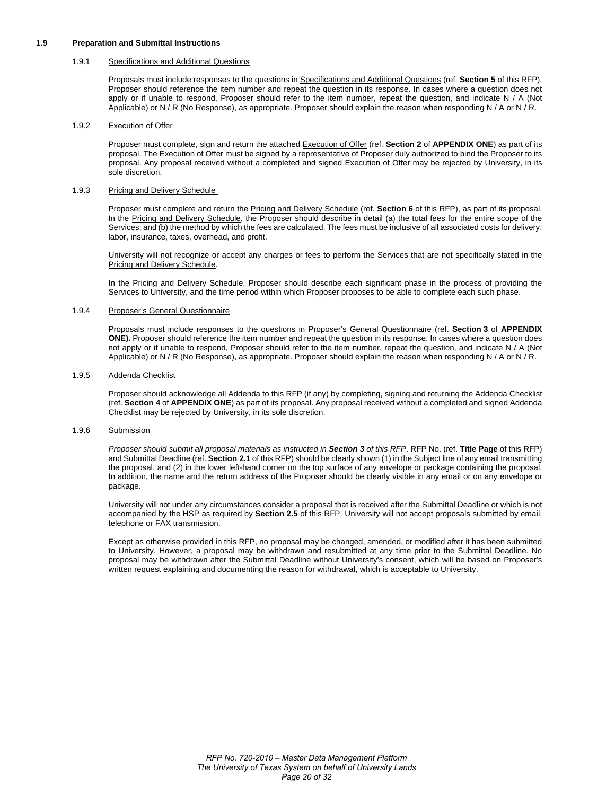#### **1.9 Preparation and Submittal Instructions**

#### 1.9.1 Specifications and Additional Questions

Proposals must include responses to the questions in Specifications and Additional Questions (ref. **Section 5** of this RFP). Proposer should reference the item number and repeat the question in its response. In cases where a question does not apply or if unable to respond, Proposer should refer to the item number, repeat the question, and indicate N / A (Not Applicable) or N / R (No Response), as appropriate. Proposer should explain the reason when responding N / A or N / R.

#### 1.9.2 Execution of Offer

Proposer must complete, sign and return the attached Execution of Offer (ref. **Section 2** of **APPENDIX ONE**) as part of its proposal. The Execution of Offer must be signed by a representative of Proposer duly authorized to bind the Proposer to its proposal. Any proposal received without a completed and signed Execution of Offer may be rejected by University, in its sole discretion.

#### 1.9.3 Pricing and Delivery Schedule

Proposer must complete and return the Pricing and Delivery Schedule (ref. **Section 6** of this RFP), as part of its proposal. In the Pricing and Delivery Schedule, the Proposer should describe in detail (a) the total fees for the entire scope of the Services; and (b) the method by which the fees are calculated. The fees must be inclusive of all associated costs for delivery, labor, insurance, taxes, overhead, and profit.

University will not recognize or accept any charges or fees to perform the Services that are not specifically stated in the Pricing and Delivery Schedule.

In the Pricing and Delivery Schedule, Proposer should describe each significant phase in the process of providing the Services to University, and the time period within which Proposer proposes to be able to complete each such phase.

#### 1.9.4 Proposer's General Questionnaire

Proposals must include responses to the questions in Proposer's General Questionnaire (ref. **Section 3** of **APPENDIX ONE).** Proposer should reference the item number and repeat the question in its response. In cases where a question does not apply or if unable to respond, Proposer should refer to the item number, repeat the question, and indicate N / A (Not Applicable) or N / R (No Response), as appropriate. Proposer should explain the reason when responding N / A or N / R.

#### 1.9.5 Addenda Checklist

Proposer should acknowledge all Addenda to this RFP (if any) by completing, signing and returning the Addenda Checklist (ref. **Section 4** of **APPENDIX ONE**) as part of its proposal. Any proposal received without a completed and signed Addenda Checklist may be rejected by University, in its sole discretion.

#### 1.9.6 Submission

*Proposer should submit all proposal materials as instructed in Section 3 of this RFP*. RFP No. (ref. **Title Page** of this RFP) and Submittal Deadline (ref. **Section 2.1** of this RFP) should be clearly shown (1) in the Subject line of any email transmitting the proposal, and (2) in the lower left-hand corner on the top surface of any envelope or package containing the proposal. In addition, the name and the return address of the Proposer should be clearly visible in any email or on any envelope or package.

University will not under any circumstances consider a proposal that is received after the Submittal Deadline or which is not accompanied by the HSP as required by **Section 2.5** of this RFP. University will not accept proposals submitted by email, telephone or FAX transmission.

Except as otherwise provided in this RFP, no proposal may be changed, amended, or modified after it has been submitted to University. However, a proposal may be withdrawn and resubmitted at any time prior to the Submittal Deadline. No proposal may be withdrawn after the Submittal Deadline without University's consent, which will be based on Proposer's written request explaining and documenting the reason for withdrawal, which is acceptable to University.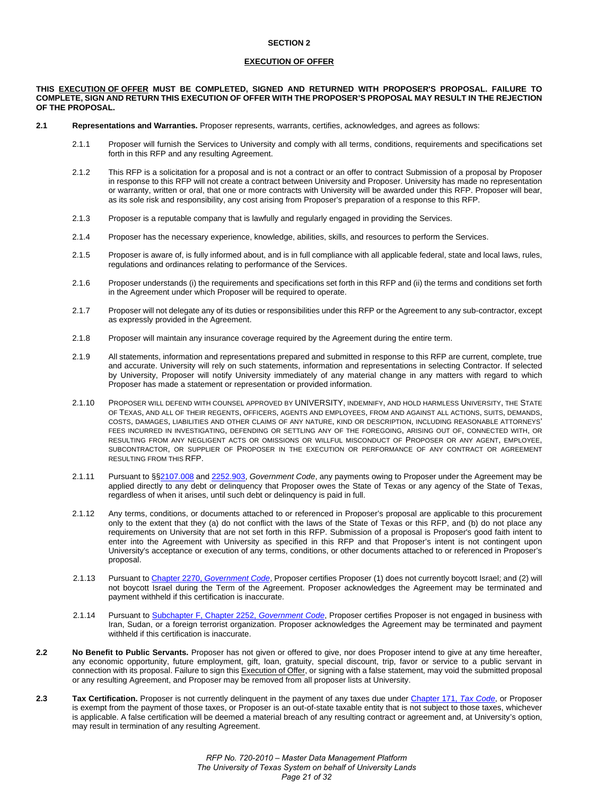#### **EXECUTION OF OFFER**

#### **THIS EXECUTION OF OFFER MUST BE COMPLETED, SIGNED AND RETURNED WITH PROPOSER'S PROPOSAL. FAILURE TO COMPLETE, SIGN AND RETURN THIS EXECUTION OF OFFER WITH THE PROPOSER'S PROPOSAL MAY RESULT IN THE REJECTION OF THE PROPOSAL.**

- **2.1 Representations and Warranties.** Proposer represents, warrants, certifies, acknowledges, and agrees as follows:
	- 2.1.1 Proposer will furnish the Services to University and comply with all terms, conditions, requirements and specifications set forth in this RFP and any resulting Agreement.
	- 2.1.2 This RFP is a solicitation for a proposal and is not a contract or an offer to contract Submission of a proposal by Proposer in response to this RFP will not create a contract between University and Proposer. University has made no representation or warranty, written or oral, that one or more contracts with University will be awarded under this RFP. Proposer will bear, as its sole risk and responsibility, any cost arising from Proposer's preparation of a response to this RFP.
	- 2.1.3 Proposer is a reputable company that is lawfully and regularly engaged in providing the Services.
	- 2.1.4 Proposer has the necessary experience, knowledge, abilities, skills, and resources to perform the Services.
	- 2.1.5 Proposer is aware of, is fully informed about, and is in full compliance with all applicable federal, state and local laws, rules, regulations and ordinances relating to performance of the Services.
	- 2.1.6 Proposer understands (i) the requirements and specifications set forth in this RFP and (ii) the terms and conditions set forth in the Agreement under which Proposer will be required to operate.
	- 2.1.7 Proposer will not delegate any of its duties or responsibilities under this RFP or the Agreement to any sub-contractor, except as expressly provided in the Agreement.
	- 2.1.8 Proposer will maintain any insurance coverage required by the Agreement during the entire term.
	- 2.1.9 All statements, information and representations prepared and submitted in response to this RFP are current, complete, true and accurate. University will rely on such statements, information and representations in selecting Contractor. If selected by University, Proposer will notify University immediately of any material change in any matters with regard to which Proposer has made a statement or representation or provided information.
	- 2.1.10 PROPOSER WILL DEFEND WITH COUNSEL APPROVED BY UNIVERSITY, INDEMNIFY, AND HOLD HARMLESS UNIVERSITY, THE STATE OF TEXAS, AND ALL OF THEIR REGENTS, OFFICERS, AGENTS AND EMPLOYEES, FROM AND AGAINST ALL ACTIONS, SUITS, DEMANDS, COSTS, DAMAGES, LIABILITIES AND OTHER CLAIMS OF ANY NATURE, KIND OR DESCRIPTION, INCLUDING REASONABLE ATTORNEYS' FEES INCURRED IN INVESTIGATING, DEFENDING OR SETTLING ANY OF THE FOREGOING, ARISING OUT OF, CONNECTED WITH, OR RESULTING FROM ANY NEGLIGENT ACTS OR OMISSIONS OR WILLFUL MISCONDUCT OF PROPOSER OR ANY AGENT, EMPLOYEE, SUBCONTRACTOR, OR SUPPLIER OF PROPOSER IN THE EXECUTION OR PERFORMANCE OF ANY CONTRACT OR AGREEMENT RESULTING FROM THIS RFP.
	- 2.1.11 Pursuant to §[§2107.008 a](http://www.statutes.legis.state.tx.us/Docs/GV/htm/GV.2107.htm#2107.008)nd [2252.903,](http://www.statutes.legis.state.tx.us/Docs/GV/htm/GV.2252.htm#2252.903) *Government Code*, any payments owing to Proposer under the Agreement may be applied directly to any debt or delinquency that Proposer owes the State of Texas or any agency of the State of Texas, regardless of when it arises, until such debt or delinquency is paid in full.
	- 2.1.12 Any terms, conditions, or documents attached to or referenced in Proposer's proposal are applicable to this procurement only to the extent that they (a) do not conflict with the laws of the State of Texas or this RFP, and (b) do not place any requirements on University that are not set forth in this RFP. Submission of a proposal is Proposer's good faith intent to enter into the Agreement with University as specified in this RFP and that Proposer's intent is not contingent upon University's acceptance or execution of any terms, conditions, or other documents attached to or referenced in Proposer's proposal.
	- 2.1.13 Pursuant to Chapter 2270, *[Government Code](http://www.statutes.legis.state.tx.us/Docs/GV/htm/GV.2270.v2.htm)*, Proposer certifies Proposer (1) does not currently boycott Israel; and (2) will not boycott Israel during the Term of the Agreement. Proposer acknowledges the Agreement may be terminated and payment withheld if this certification is inaccurate.
	- 2.1.14 Pursuant t[o Subchapter F, Chapter 2252,](http://www.statutes.legis.state.tx.us/Docs/GV/htm/GV.2252.htm#F) *Government Code*, Proposer certifies Proposer is not engaged in business with Iran, Sudan, or a foreign terrorist organization. Proposer acknowledges the Agreement may be terminated and payment withheld if this certification is inaccurate.
- **2.2 No Benefit to Public Servants.** Proposer has not given or offered to give, nor does Proposer intend to give at any time hereafter, any economic opportunity, future employment, gift, loan, gratuity, special discount, trip, favor or service to a public servant in connection with its proposal. Failure to sign this Execution of Offer, or signing with a false statement, may void the submitted proposal or any resulting Agreement, and Proposer may be removed from all proposer lists at University.
- **2.3 Tax Certification.** Proposer is not currently delinquent in the payment of any taxes due under [Chapter 171,](http://www.statutes.legis.state.tx.us/Docs/TX/htm/TX.171.htm) *Tax Code*, or Proposer is exempt from the payment of those taxes, or Proposer is an out-of-state taxable entity that is not subject to those taxes, whichever is applicable. A false certification will be deemed a material breach of any resulting contract or agreement and, at University's option, may result in termination of any resulting Agreement.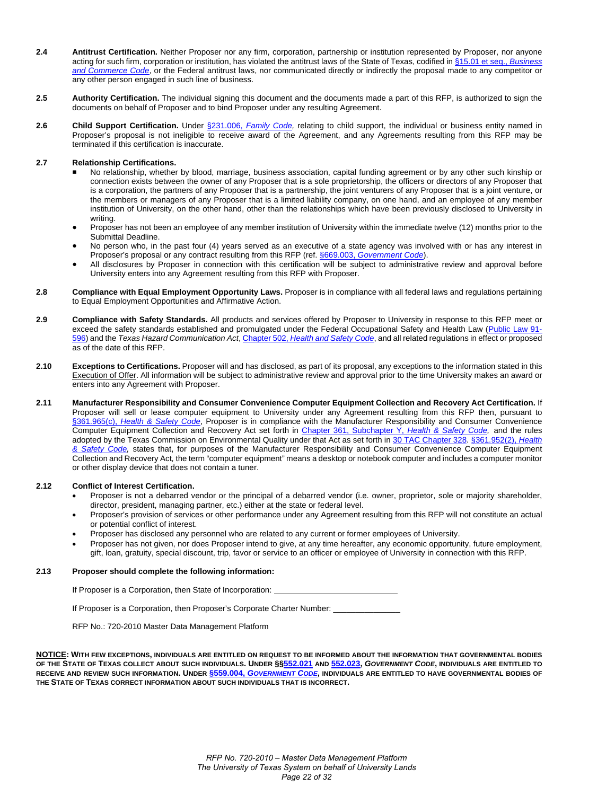- **2.4 Antitrust Certification.** Neither Proposer nor any firm, corporation, partnership or institution represented by Proposer, nor anyone acting for such firm, corporation or institution, has violated the antitrust laws of the State of Texas, codified in [§15.01 et seq.,](http://www.statutes.legis.state.tx.us/Docs/BC/htm/BC.15.htm) *Business [and Commerce Code](http://www.statutes.legis.state.tx.us/Docs/BC/htm/BC.15.htm)*, or the Federal antitrust laws, nor communicated directly or indirectly the proposal made to any competitor or any other person engaged in such line of business.
- **2.5 Authority Certification.** The individual signing this document and the documents made a part of this RFP, is authorized to sign the documents on behalf of Proposer and to bind Proposer under any resulting Agreement.
- **2.6 Child Support Certification.** Under §231.006, *[Family Code,](http://www.statutes.legis.state.tx.us/Docs/FA/htm/FA.231.htm#231.006)* relating to child support, the individual or business entity named in Proposer's proposal is not ineligible to receive award of the Agreement, and any Agreements resulting from this RFP may be terminated if this certification is inaccurate.

#### **2.7 Relationship Certifications.**

- No relationship, whether by blood, marriage, business association, capital funding agreement or by any other such kinship or connection exists between the owner of any Proposer that is a sole proprietorship, the officers or directors of any Proposer that is a corporation, the partners of any Proposer that is a partnership, the joint venturers of any Proposer that is a joint venture, or the members or managers of any Proposer that is a limited liability company, on one hand, and an employee of any member institution of University, on the other hand, other than the relationships which have been previously disclosed to University in writing.
- Proposer has not been an employee of any member institution of University within the immediate twelve (12) months prior to the Submittal Deadline.
- No person who, in the past four (4) years served as an executive of a state agency was involved with or has any interest in Proposer's proposal or any contract resulting from this RFP (ref. §669.003, *[Government Code](http://www.statutes.legis.state.tx.us/Docs/GV/htm/GV.669.htm#669.003)*).
- All disclosures by Proposer in connection with this certification will be subject to administrative review and approval before University enters into any Agreement resulting from this RFP with Proposer.
- **2.8 Compliance with Equal Employment Opportunity Laws.** Proposer is in compliance with all federal laws and regulations pertaining to Equal Employment Opportunities and Affirmative Action.
- **2.9 Compliance with Safety Standards.** All products and services offered by Proposer to University in response to this RFP meet or exceed the safety standards established and promulgated under the Federal Occupational Safety and Health Law [\(Public Law 91-](https://www.osha.gov/pls/oshaweb/owadisp.show_document?p_table=OSHACT&p_id=2743) [596\)](https://www.osha.gov/pls/oshaweb/owadisp.show_document?p_table=OSHACT&p_id=2743) and the *Texas Hazard Communication Act*, Chapter 502, *[Health and Safety Code](http://www.statutes.legis.state.tx.us/Docs/HS/htm/HS.502.htm)*, and all related regulations in effect or proposed as of the date of this RFP.
- **2.10 Exceptions to Certifications.** Proposer will and has disclosed, as part of its proposal, any exceptions to the information stated in this Execution of Offer. All information will be subject to administrative review and approval prior to the time University makes an award or enters into any Agreement with Proposer.
- **2.11 Manufacturer Responsibility and Consumer Convenience Computer Equipment Collection and Recovery Act Certification.** If Proposer will sell or lease computer equipment to University under any Agreement resulting from this RFP then, pursuant to §361.965(c), *[Health & Safety Code](http://www.statutes.legis.state.tx.us/Docs/HS/htm/HS.361.htm#361.965)*, Proposer is in compliance with the Manufacturer Responsibility and Consumer Convenience Computer Equipment Collection and Recovery Act set forth in [Chapter 361, Subchapter Y,](http://www.statutes.legis.state.tx.us/Docs/HS/htm/HS.361.htm#Y) *Health & Safety Code,* and the rules adopted by the Texas Commission on Environmental Quality under that Act as set forth in [30 TAC Chapter 328.](http://texreg.sos.state.tx.us/public/readtac$ext.ViewTAC?tac_view=5&ti=30&pt=1&ch=328&sch=I&rl=Y) [§361.952\(2\),](http://www.statutes.legis.state.tx.us/Docs/HS/htm/HS.361.htm#361.952) *Health [& Safety Code,](http://www.statutes.legis.state.tx.us/Docs/HS/htm/HS.361.htm#361.952)* states that, for purposes of the Manufacturer Responsibility and Consumer Convenience Computer Equipment Collection and Recovery Act*,* the term "computer equipment" means a desktop or notebook computer and includes a computer monitor or other display device that does not contain a tuner.

#### **2.12 Conflict of Interest Certification.**

- Proposer is not a debarred vendor or the principal of a debarred vendor (i.e. owner, proprietor, sole or majority shareholder, director, president, managing partner, etc.) either at the state or federal level.
- Proposer's provision of services or other performance under any Agreement resulting from this RFP will not constitute an actual or potential conflict of interest.
- Proposer has disclosed any personnel who are related to any current or former employees of University.
- Proposer has not given, nor does Proposer intend to give, at any time hereafter, any economic opportunity, future employment, gift, loan, gratuity, special discount, trip, favor or service to an officer or employee of University in connection with this RFP.

#### **2 .1 3 Proposer should complete the following information:**

If Proposer is a Corporation, then State of Incorporation:

If Proposer is a Corporation, then Proposer's Corporate Charter Number: \_

RFP No.: 720-2010 Master Data Management Platform

**NOTICE: WITH FEW EXCEPTIONS, INDIVIDUALS ARE ENTITLED ON REQUEST TO BE INFORMED ABOUT THE INFORMATION THAT GOVERNMENTAL BODIES OF THE STATE OF TEXAS COLLECT ABOUT SUCH INDIVIDUALS. UNDER §[§552.021 A](http://www.statutes.legis.state.tx.us/Docs/GV/htm/GV.552.htm#552.021)ND [552.023,](http://www.statutes.legis.state.tx.us/Docs/GV/htm/GV.552.htm#552.023)** *GOVERNMENT CODE***, INDIVIDUALS ARE ENTITLED TO RECEIVE AND REVIEW SUCH INFORMATION. UNDER §559.004,** *[GOVERNMENT CODE](http://www.statutes.legis.state.tx.us/Docs/GV/htm/GV.559.htm#559.004)***, INDIVIDUALS ARE ENTITLED TO HAVE GOVERNMENTAL BODIES OF THE STATE OF TEXAS CORRECT INFORMATION ABOUT SUCH INDIVIDUALS THAT IS INCORRECT.**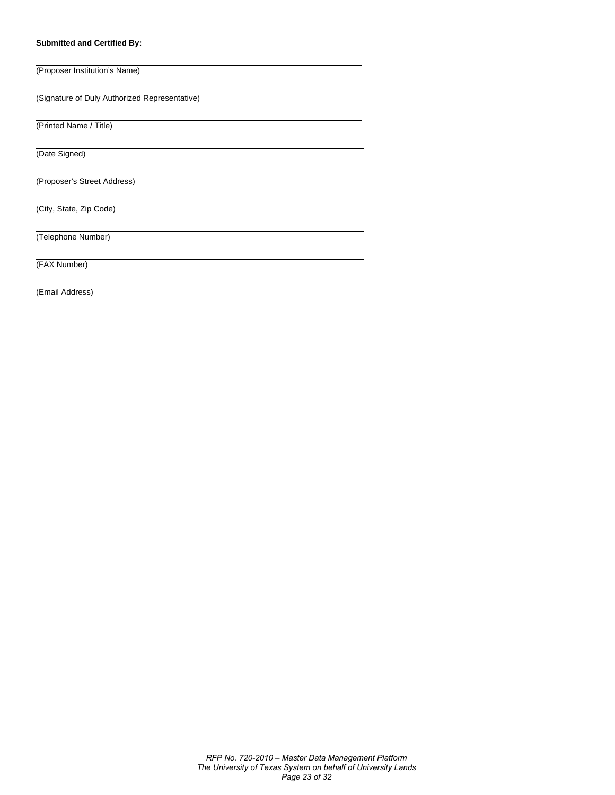#### **Submitted and Certified By:**

 $\overline{a}$ (Proposer Institution's Name) (Signature of Duly Authorized Representative) (Printed Name / Title)  $\overline{a}$ (Date Signed) (Proposer's Street Address) (City, State, Zip Code) (Telephone Number) (FAX Number) \_\_\_\_\_\_\_\_\_\_\_\_\_\_\_\_\_\_\_\_\_\_\_\_\_\_\_\_\_\_\_\_\_\_\_\_\_\_\_\_\_\_\_\_\_\_\_\_\_\_\_\_\_\_\_\_\_\_\_\_\_\_\_\_\_\_\_\_\_\_\_\_\_ (Email Address)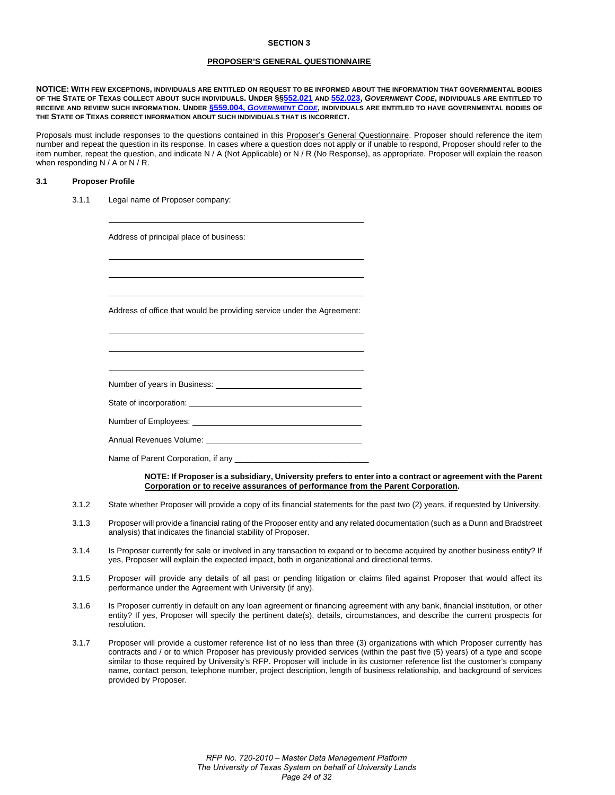#### **PROPOSER'S GENERAL QUESTIONNAIRE**

**NOTICE: WITH FEW EXCEPTIONS, INDIVIDUALS ARE ENTITLED ON REQUEST TO BE INFORMED ABOUT THE INFORMATION THAT GOVERNMENTAL BODIES OF THE STATE OF TEXAS COLLECT ABOUT SUCH INDIVIDUALS. UNDER §[§552.021 A](http://www.statutes.legis.state.tx.us/Docs/GV/htm/GV.552.htm#552.021)ND [552.023,](http://www.statutes.legis.state.tx.us/Docs/GV/htm/GV.552.htm#552.023)** *GOVERNMENT CODE***, INDIVIDUALS ARE ENTITLED TO RECEIVE AND REVIEW SUCH INFORMATION. UNDER §559.004,** *[GOVERNMENT CODE](http://www.statutes.legis.state.tx.us/Docs/GV/htm/GV.559.htm#559.004)***, INDIVIDUALS ARE ENTITLED TO HAVE GOVERNMENTAL BODIES OF THE STATE OF TEXAS CORRECT INFORMATION ABOUT SUCH INDIVIDUALS THAT IS INCORRECT.** 

Proposals must include responses to the questions contained in this Proposer's General Questionnaire. Proposer should reference the item number and repeat the question in its response. In cases where a question does not apply or if unable to respond, Proposer should refer to the item number, repeat the question, and indicate N / A (Not Applicable) or N / R (No Response), as appropriate. Proposer will explain the reason when responding N / A or N / R.

#### **3.1 Proposer Profile**

 $\overline{a}$ 

3.1.1 Legal name of Proposer company:

Address of principal place of business:

Address of office that would be providing service under the Agreement:

Number of years in Business:

State of incorporation:

Number of Employees:

Annual Revenues Volume:

Name of Parent Corporation, if any \_\_\_\_\_\_\_\_\_\_\_\_\_\_\_\_\_\_\_\_\_\_\_\_\_\_\_\_\_\_

#### **NOTE: If Proposer is a subsidiary, University prefers to enter into a contract or agreement with the Parent Corporation or to receive assurances of performance from the Parent Corporation.**

- 3.1.2 State whether Proposer will provide a copy of its financial statements for the past two (2) years, if requested by University.
- 3.1.3 Proposer will provide a financial rating of the Proposer entity and any related documentation (such as a Dunn and Bradstreet analysis) that indicates the financial stability of Proposer.
- 3.1.4 Is Proposer currently for sale or involved in any transaction to expand or to become acquired by another business entity? If yes, Proposer will explain the expected impact, both in organizational and directional terms.
- 3.1.5 Proposer will provide any details of all past or pending litigation or claims filed against Proposer that would affect its performance under the Agreement with University (if any).
- 3.1.6 Is Proposer currently in default on any loan agreement or financing agreement with any bank, financial institution, or other entity? If yes, Proposer will specify the pertinent date(s), details, circumstances, and describe the current prospects for resolution.
- 3.1.7 Proposer will provide a customer reference list of no less than three (3) organizations with which Proposer currently has contracts and / or to which Proposer has previously provided services (within the past five (5) years) of a type and scope similar to those required by University's RFP. Proposer will include in its customer reference list the customer's company name, contact person, telephone number, project description, length of business relationship, and background of services provided by Proposer.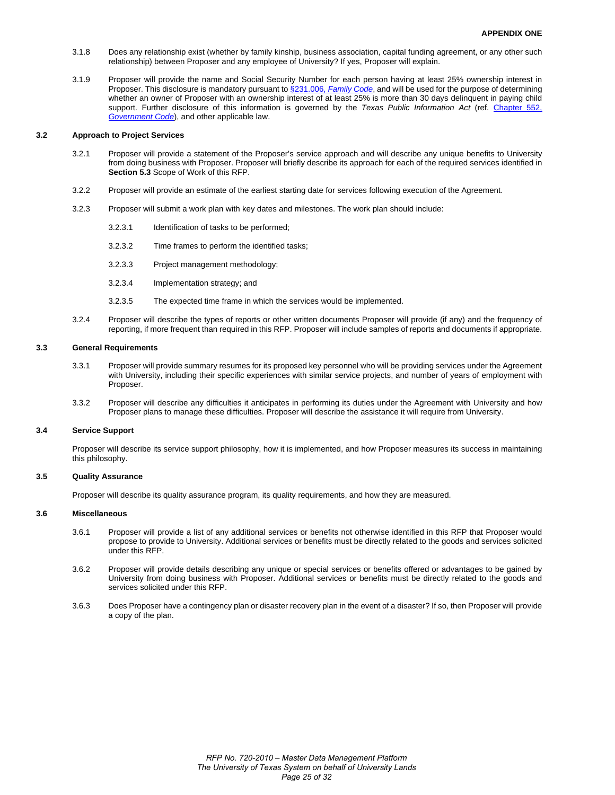- 3.1.8 Does any relationship exist (whether by family kinship, business association, capital funding agreement, or any other such relationship) between Proposer and any employee of University? If yes, Proposer will explain.
- 3.1.9 Proposer will provide the name and Social Security Number for each person having at least 25% ownership interest in Proposer. This disclosure is mandatory pursuant to §231.006, *[Family Code](http://www.statutes.legis.state.tx.us/Docs/FA/htm/FA.231.htm#231.006)*, and will be used for the purpose of determining whether an owner of Proposer with an ownership interest of at least 25% is more than 30 days delinquent in paying child support. Further disclosure of this information is governed by the *Texas Public Information Act* (ref. [Chapter 552,](http://www.statutes.legis.state.tx.us/Docs/GV/htm/GV.552.htm)  *[Government Code](http://www.statutes.legis.state.tx.us/Docs/GV/htm/GV.552.htm)*), and other applicable law.

#### **3.2 Approach to Project Services**

- 3.2.1 Proposer will provide a statement of the Proposer's service approach and will describe any unique benefits to University from doing business with Proposer. Proposer will briefly describe its approach for each of the required services identified in **Section 5.3** Scope of Work of this RFP.
- 3.2.2 Proposer will provide an estimate of the earliest starting date for services following execution of the Agreement.
- 3.2.3 Proposer will submit a work plan with key dates and milestones. The work plan should include:
	- 3.2.3.1 Identification of tasks to be performed;
	- 3.2.3.2 Time frames to perform the identified tasks;
	- 3.2.3.3 Project management methodology;
	- 3.2.3.4 Implementation strategy; and
	- 3.2.3.5 The expected time frame in which the services would be implemented.
- 3.2.4 Proposer will describe the types of reports or other written documents Proposer will provide (if any) and the frequency of reporting, if more frequent than required in this RFP. Proposer will include samples of reports and documents if appropriate.

#### **3.3 General Requirements**

- 3.3.1 Proposer will provide summary resumes for its proposed key personnel who will be providing services under the Agreement with University, including their specific experiences with similar service projects, and number of years of employment with Proposer.
- 3.3.2 Proposer will describe any difficulties it anticipates in performing its duties under the Agreement with University and how Proposer plans to manage these difficulties. Proposer will describe the assistance it will require from University.

#### **3.4 Service Support**

Proposer will describe its service support philosophy, how it is implemented, and how Proposer measures its success in maintaining this philosophy.

#### **3.5 Quality Assurance**

Proposer will describe its quality assurance program, its quality requirements, and how they are measured.

#### **3.6 Miscellaneous**

- 3.6.1 Proposer will provide a list of any additional services or benefits not otherwise identified in this RFP that Proposer would propose to provide to University. Additional services or benefits must be directly related to the goods and services solicited under this RFP.
- 3.6.2 Proposer will provide details describing any unique or special services or benefits offered or advantages to be gained by University from doing business with Proposer. Additional services or benefits must be directly related to the goods and services solicited under this RFP.
- 3.6.3 Does Proposer have a contingency plan or disaster recovery plan in the event of a disaster? If so, then Proposer will provide a copy of the plan.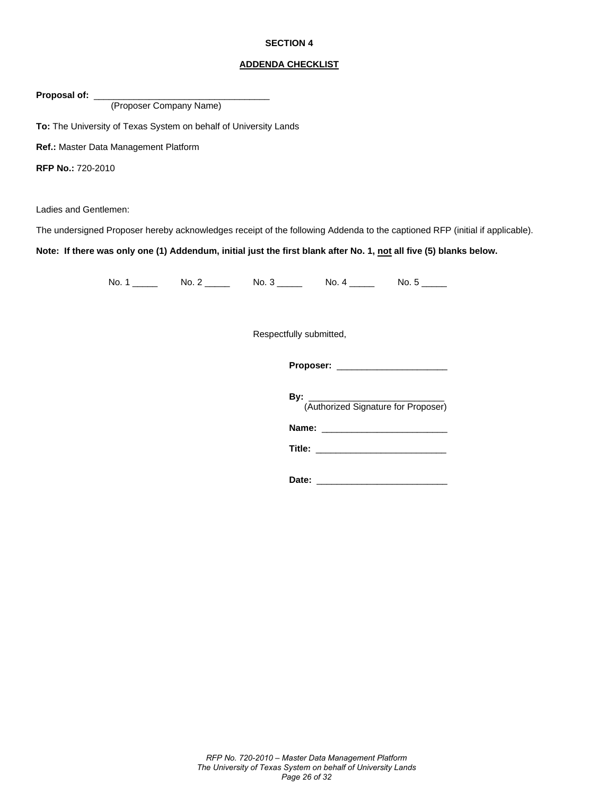#### **ADDENDA CHECKLIST**

Proposal of: \_

(Proposer Company Name)

**To:** The University of Texas System on behalf of University Lands

**Ref.:** Master Data Management Platform

**RFP No.:** 720-2010

Ladies and Gentlemen:

The undersigned Proposer hereby acknowledges receipt of the following Addenda to the captioned RFP (initial if applicable).

**Note: If there was only one (1) Addendum, initial just the first blank after No. 1, not all five (5) blanks below.** 

No. 1 \_\_\_\_\_ No. 2 \_\_\_\_\_ No. 3 \_\_\_\_\_ No. 4 \_\_\_\_\_ No. 5 \_\_\_\_\_

Respectfully submitted,

| Proposer: |  |
|-----------|--|
|-----------|--|

**By:** \_\_\_\_\_\_\_\_\_\_\_\_\_\_\_\_\_\_\_\_\_\_\_\_\_\_\_

(Authorized Signature for Proposer)

| Name:<br>_____ |  |
|----------------|--|
|----------------|--|

| Title:<br>___ |  |
|---------------|--|
|---------------|--|

Date: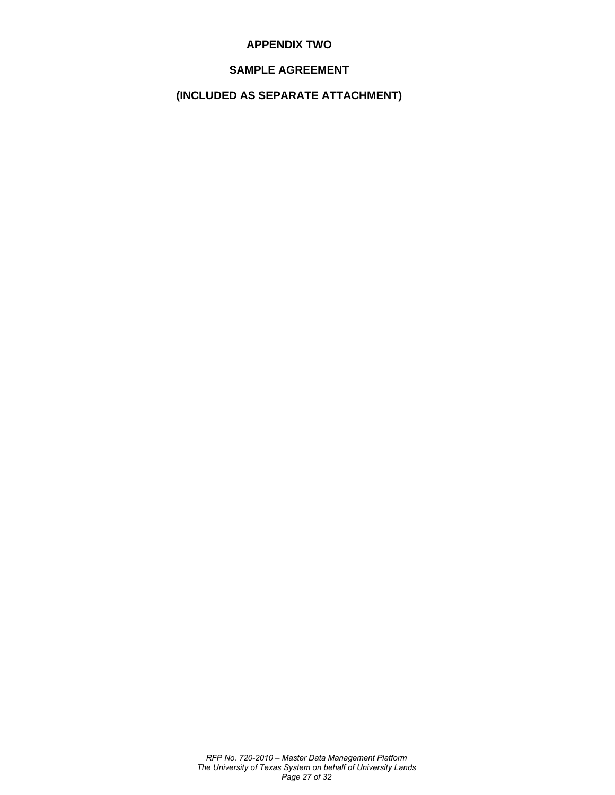# **APPENDIX TWO**

# **SAMPLE AGREEMENT**

# **(INCLUDED AS SEPARATE ATTACHMENT)**

*RFP No. 720-2010 – Master Data Management Platform The University of Texas System on behalf of University Lands Page 27 of 32*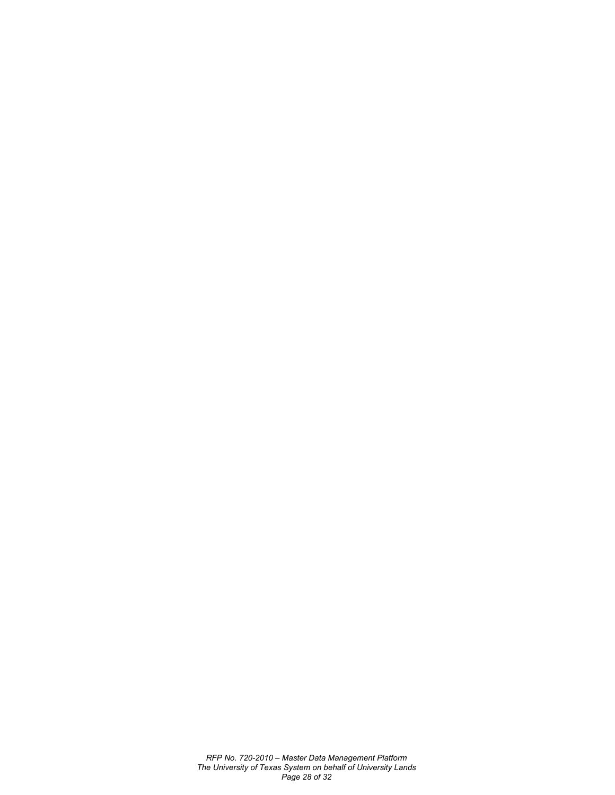*RFP No. 720-2010 – Master Data Management Platform The University of Texas System on behalf of University Lands Page 28 of 32*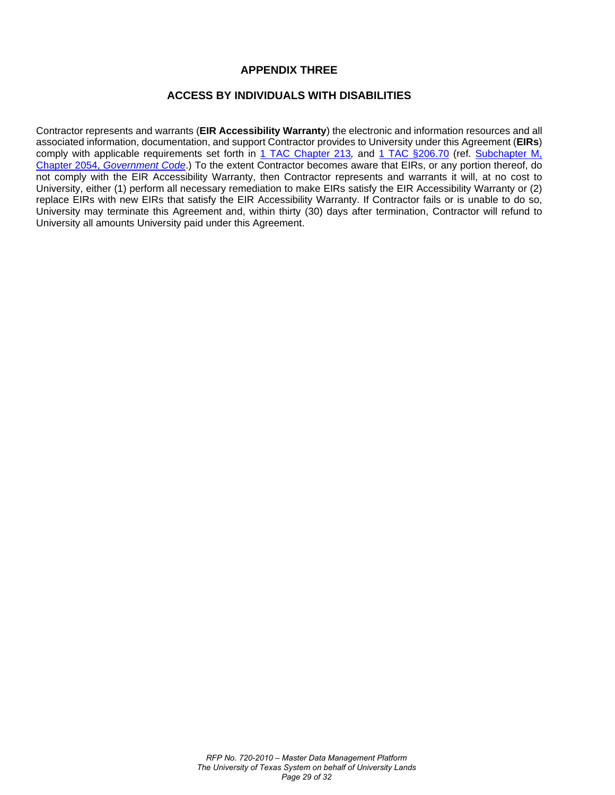# **APPENDIX THREE**

### **ACCESS BY INDIVIDUALS WITH DISABILITIES**

Contractor represents and warrants (**EIR Accessibility Warranty**) the electronic and information resources and all associated information, documentation, and support Contractor provides to University under this Agreement (**EIRs**) comply with applicable requirements set forth in 1 TAC [Chapter 213](http://texreg.sos.state.tx.us/public/readtac$ext.ViewTAC?tac_view=4&ti=1&pt=10&ch=213), and [1 TAC §206.70](http://texreg.sos.state.tx.us/public/readtac$ext.TacPage?sl=R&app=9&p_dir=&p_rloc=&p_tloc=&p_ploc=&pg=1&p_tac=&ti=1&pt=10&ch=206&rl=70) (ref. Subchapter M, Chapter 2054, *[Government Code](http://www.statutes.legis.state.tx.us/Docs/GV/htm/GV.2054.htm#M)*.) To the extent Contractor becomes aware that EIRs, or any portion thereof, do not comply with the EIR Accessibility Warranty, then Contractor represents and warrants it will, at no cost to University, either (1) perform all necessary remediation to make EIRs satisfy the EIR Accessibility Warranty or (2) replace EIRs with new EIRs that satisfy the EIR Accessibility Warranty. If Contractor fails or is unable to do so, University may terminate this Agreement and, within thirty (30) days after termination, Contractor will refund to University all amounts University paid under this Agreement.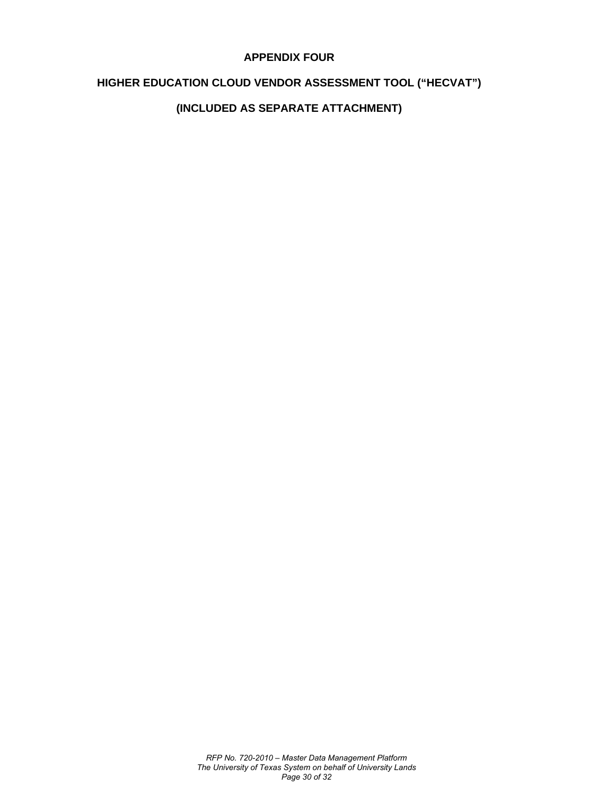# **APPENDIX FOUR**

# **HIGHER EDUCATION CLOUD VENDOR ASSESSMENT TOOL ("HECVAT")**

# **(INCLUDED AS SEPARATE ATTACHMENT)**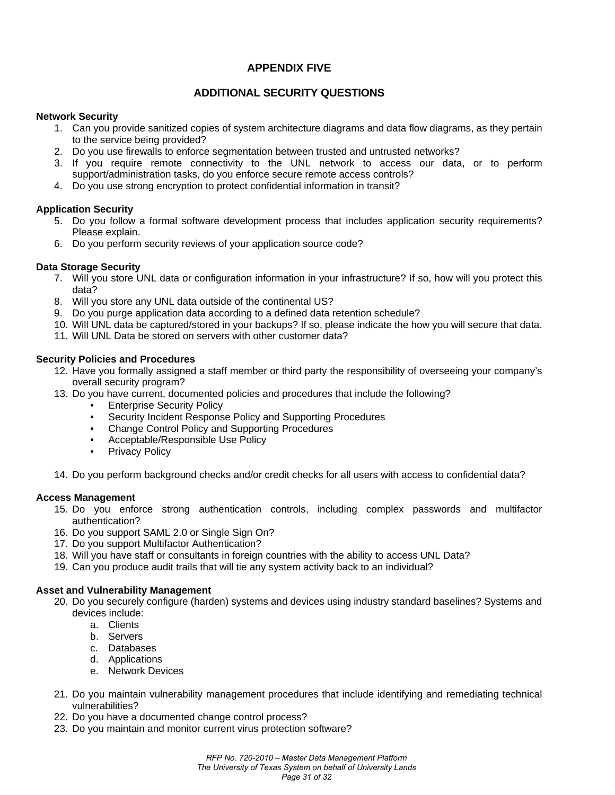# **APPENDIX FIVE**

# **ADDITIONAL SECURITY QUESTIONS**

### **Network Security**

- 1. Can you provide sanitized copies of system architecture diagrams and data flow diagrams, as they pertain to the service being provided?
- 2. Do you use firewalls to enforce segmentation between trusted and untrusted networks?
- 3. If you require remote connectivity to the UNL network to access our data, or to perform support/administration tasks, do you enforce secure remote access controls?
- 4. Do you use strong encryption to protect confidential information in transit?

### **Application Security**

- 5. Do you follow a formal software development process that includes application security requirements? Please explain.
- 6. Do you perform security reviews of your application source code?

### **Data Storage Security**

- 7. Will you store UNL data or configuration information in your infrastructure? If so, how will you protect this data?
- 8. Will you store any UNL data outside of the continental US?
- 9. Do you purge application data according to a defined data retention schedule?
- 10. Will UNL data be captured/stored in your backups? If so, please indicate the how you will secure that data.
- 11. Will UNL Data be stored on servers with other customer data?

### **Security Policies and Procedures**

- 12. Have you formally assigned a staff member or third party the responsibility of overseeing your company's overall security program?
- 13. Do you have current, documented policies and procedures that include the following?
	- Enterprise Security Policy
	- Security Incident Response Policy and Supporting Procedures
	- Change Control Policy and Supporting Procedures
	- Acceptable/Responsible Use Policy
	- Privacy Policy
- 14. Do you perform background checks and/or credit checks for all users with access to confidential data?

### **Access Management**

- 15. Do you enforce strong authentication controls, including complex passwords and multifactor authentication?
- 16. Do you support SAML 2.0 or Single Sign On?
- 17. Do you support Multifactor Authentication?
- 18. Will you have staff or consultants in foreign countries with the ability to access UNL Data?
- 19. Can you produce audit trails that will tie any system activity back to an individual?

### **Asset and Vulnerability Management**

- 20. Do you securely configure (harden) systems and devices using industry standard baselines? Systems and devices include:
	- a. Clients
	- b. Servers
	- c. Databases
	- d. Applications
	- e. Network Devices
- 21. Do you maintain vulnerability management procedures that include identifying and remediating technical vulnerabilities?
- 22. Do you have a documented change control process?
- 23. Do you maintain and monitor current virus protection software?